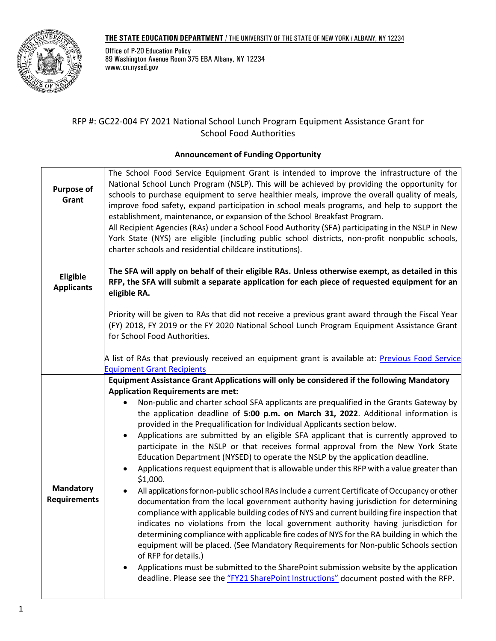## **THE STATE EDUCATION DEPARTMENT** / THE UNIVERSITY OF THE STATE OF NEW YORK / ALBANY, NY 12234



Office of P-20 Education Policy 89 Washington Avenue Room 375 EBA Albany, NY 12234 www.cn.nysed.gov

# RFP #: GC22-004 FY 2021 National School Lunch Program Equipment Assistance Grant for School Food Authorities

# **Announcement of Funding Opportunity**

<span id="page-0-0"></span>

| <b>Purpose of</b><br>Grant              | The School Food Service Equipment Grant is intended to improve the infrastructure of the<br>National School Lunch Program (NSLP). This will be achieved by providing the opportunity for<br>schools to purchase equipment to serve healthier meals, improve the overall quality of meals,<br>improve food safety, expand participation in school meals programs, and help to support the<br>establishment, maintenance, or expansion of the School Breakfast Program.                                                                                                                                                                                                                                                                                                                                                                                                                                                                                                                                                                                                                                                                                |
|-----------------------------------------|------------------------------------------------------------------------------------------------------------------------------------------------------------------------------------------------------------------------------------------------------------------------------------------------------------------------------------------------------------------------------------------------------------------------------------------------------------------------------------------------------------------------------------------------------------------------------------------------------------------------------------------------------------------------------------------------------------------------------------------------------------------------------------------------------------------------------------------------------------------------------------------------------------------------------------------------------------------------------------------------------------------------------------------------------------------------------------------------------------------------------------------------------|
|                                         | All Recipient Agencies (RAs) under a School Food Authority (SFA) participating in the NSLP in New<br>York State (NYS) are eligible (including public school districts, non-profit nonpublic schools,<br>charter schools and residential childcare institutions).                                                                                                                                                                                                                                                                                                                                                                                                                                                                                                                                                                                                                                                                                                                                                                                                                                                                                     |
| <b>Eligible</b><br><b>Applicants</b>    | The SFA will apply on behalf of their eligible RAs. Unless otherwise exempt, as detailed in this<br>RFP, the SFA will submit a separate application for each piece of requested equipment for an<br>eligible RA.                                                                                                                                                                                                                                                                                                                                                                                                                                                                                                                                                                                                                                                                                                                                                                                                                                                                                                                                     |
|                                         | Priority will be given to RAs that did not receive a previous grant award through the Fiscal Year<br>(FY) 2018, FY 2019 or the FY 2020 National School Lunch Program Equipment Assistance Grant<br>for School Food Authorities.                                                                                                                                                                                                                                                                                                                                                                                                                                                                                                                                                                                                                                                                                                                                                                                                                                                                                                                      |
|                                         | A list of RAs that previously received an equipment grant is available at: Previous Food Service<br><b>Equipment Grant Recipients</b>                                                                                                                                                                                                                                                                                                                                                                                                                                                                                                                                                                                                                                                                                                                                                                                                                                                                                                                                                                                                                |
|                                         | Equipment Assistance Grant Applications will only be considered if the following Mandatory<br><b>Application Requirements are met:</b>                                                                                                                                                                                                                                                                                                                                                                                                                                                                                                                                                                                                                                                                                                                                                                                                                                                                                                                                                                                                               |
| <b>Mandatory</b><br><b>Requirements</b> | Non-public and charter school SFA applicants are prequalified in the Grants Gateway by<br>$\bullet$<br>the application deadline of 5:00 p.m. on March 31, 2022. Additional information is<br>provided in the Prequalification for Individual Applicants section below.<br>Applications are submitted by an eligible SFA applicant that is currently approved to<br>$\bullet$<br>participate in the NSLP or that receives formal approval from the New York State<br>Education Department (NYSED) to operate the NSLP by the application deadline.<br>Applications request equipment that is allowable under this RFP with a value greater than<br>$\bullet$<br>\$1,000.<br>All applications for non-public school RAs include a current Certificate of Occupancy or other<br>documentation from the local government authority having jurisdiction for determining<br>compliance with applicable building codes of NYS and current building fire inspection that<br>indicates no violations from the local government authority having jurisdiction for<br>determining compliance with applicable fire codes of NYS for the RA building in which the |
|                                         | equipment will be placed. (See Mandatory Requirements for Non-public Schools section<br>of RFP for details.)<br>Applications must be submitted to the SharePoint submission website by the application<br>deadline. Please see the "FY21 SharePoint Instructions" document posted with the RFP.                                                                                                                                                                                                                                                                                                                                                                                                                                                                                                                                                                                                                                                                                                                                                                                                                                                      |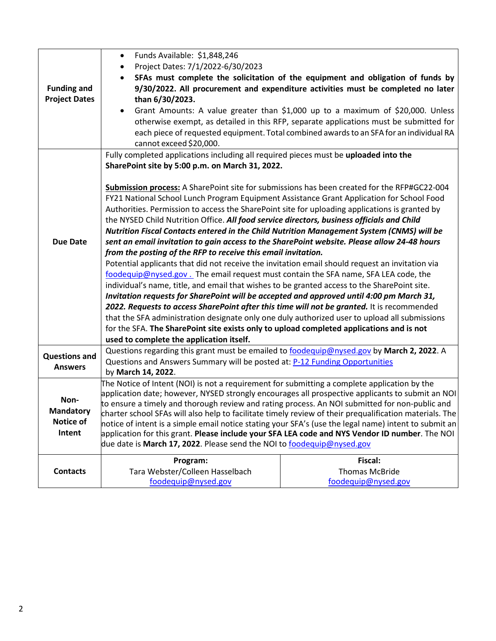|                      | Funds Available: \$1,848,246<br>$\bullet$                                                                                                                                                               |                                                                                         |  |  |  |
|----------------------|---------------------------------------------------------------------------------------------------------------------------------------------------------------------------------------------------------|-----------------------------------------------------------------------------------------|--|--|--|
|                      | Project Dates: 7/1/2022-6/30/2023                                                                                                                                                                       |                                                                                         |  |  |  |
|                      |                                                                                                                                                                                                         | SFAs must complete the solicitation of the equipment and obligation of funds by         |  |  |  |
| <b>Funding and</b>   |                                                                                                                                                                                                         | 9/30/2022. All procurement and expenditure activities must be completed no later        |  |  |  |
| <b>Project Dates</b> | than 6/30/2023.                                                                                                                                                                                         |                                                                                         |  |  |  |
|                      |                                                                                                                                                                                                         | Grant Amounts: A value greater than \$1,000 up to a maximum of \$20,000. Unless         |  |  |  |
|                      |                                                                                                                                                                                                         | otherwise exempt, as detailed in this RFP, separate applications must be submitted for  |  |  |  |
|                      |                                                                                                                                                                                                         | each piece of requested equipment. Total combined awards to an SFA for an individual RA |  |  |  |
|                      | cannot exceed \$20,000.                                                                                                                                                                                 |                                                                                         |  |  |  |
|                      | Fully completed applications including all required pieces must be uploaded into the                                                                                                                    |                                                                                         |  |  |  |
|                      | SharePoint site by 5:00 p.m. on March 31, 2022.                                                                                                                                                         |                                                                                         |  |  |  |
|                      |                                                                                                                                                                                                         |                                                                                         |  |  |  |
|                      | Submission process: A SharePoint site for submissions has been created for the RFP#GC22-004                                                                                                             |                                                                                         |  |  |  |
|                      | FY21 National School Lunch Program Equipment Assistance Grant Application for School Food                                                                                                               |                                                                                         |  |  |  |
|                      | Authorities. Permission to access the SharePoint site for uploading applications is granted by                                                                                                          |                                                                                         |  |  |  |
|                      | the NYSED Child Nutrition Office. All food service directors, business officials and Child                                                                                                              |                                                                                         |  |  |  |
|                      | Nutrition Fiscal Contacts entered in the Child Nutrition Management System (CNMS) will be                                                                                                               |                                                                                         |  |  |  |
| <b>Due Date</b>      | sent an email invitation to gain access to the SharePoint website. Please allow 24-48 hours                                                                                                             |                                                                                         |  |  |  |
|                      | from the posting of the RFP to receive this email invitation.                                                                                                                                           |                                                                                         |  |  |  |
|                      | Potential applicants that did not receive the invitation email should request an invitation via                                                                                                         |                                                                                         |  |  |  |
|                      | foodequip@nysed.gov. The email request must contain the SFA name, SFA LEA code, the                                                                                                                     |                                                                                         |  |  |  |
|                      | individual's name, title, and email that wishes to be granted access to the SharePoint site.                                                                                                            |                                                                                         |  |  |  |
|                      | Invitation requests for SharePoint will be accepted and approved until 4:00 pm March 31,                                                                                                                |                                                                                         |  |  |  |
|                      | 2022. Requests to access SharePoint after this time will not be granted. It is recommended                                                                                                              |                                                                                         |  |  |  |
|                      | that the SFA administration designate only one duly authorized user to upload all submissions                                                                                                           |                                                                                         |  |  |  |
|                      | for the SFA. The SharePoint site exists only to upload completed applications and is not                                                                                                                |                                                                                         |  |  |  |
|                      | used to complete the application itself.                                                                                                                                                                |                                                                                         |  |  |  |
| <b>Questions and</b> | Questions regarding this grant must be emailed to foodequip@nysed.gov by March 2, 2022. A                                                                                                               |                                                                                         |  |  |  |
| <b>Answers</b>       | Questions and Answers Summary will be posted at: P-12 Funding Opportunities                                                                                                                             |                                                                                         |  |  |  |
|                      | by March 14, 2022.                                                                                                                                                                                      |                                                                                         |  |  |  |
|                      | The Notice of Intent (NOI) is not a requirement for submitting a complete application by the                                                                                                            |                                                                                         |  |  |  |
| Non-                 | application date; however, NYSED strongly encourages all prospective applicants to submit an NOI                                                                                                        |                                                                                         |  |  |  |
| <b>Mandatory</b>     | to ensure a timely and thorough review and rating process. An NOI submitted for non-public and                                                                                                          |                                                                                         |  |  |  |
| Notice of            | charter school SFAs will also help to facilitate timely review of their prequalification materials. The                                                                                                 |                                                                                         |  |  |  |
| Intent               | notice of intent is a simple email notice stating your SFA's (use the legal name) intent to submit an<br>application for this grant. Please include your SFA LEA code and NYS Vendor ID number. The NOI |                                                                                         |  |  |  |
|                      | due date is March 17, 2022. Please send the NOI to foodequip@nysed.gov                                                                                                                                  |                                                                                         |  |  |  |
|                      |                                                                                                                                                                                                         |                                                                                         |  |  |  |
| <b>Contacts</b>      | Program:                                                                                                                                                                                                | Fiscal:<br><b>Thomas McBride</b>                                                        |  |  |  |
|                      | Tara Webster/Colleen Hasselbach<br>foodequip@nysed.gov                                                                                                                                                  | foodequip@nysed.gov                                                                     |  |  |  |
|                      |                                                                                                                                                                                                         |                                                                                         |  |  |  |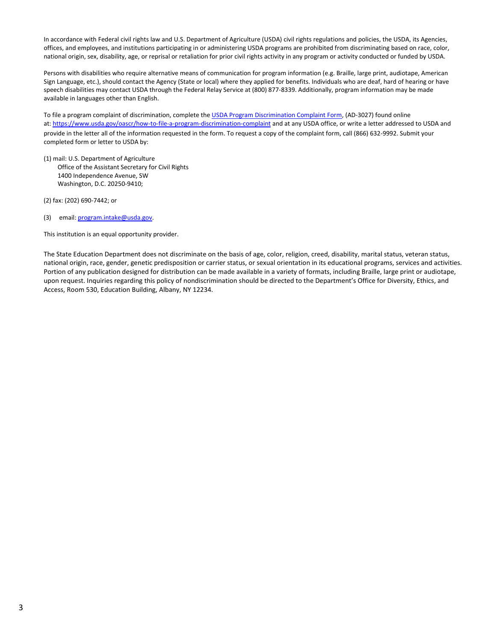In accordance with Federal civil rights law and U.S. Department of Agriculture (USDA) civil rights regulations and policies, the USDA, its Agencies, offices, and employees, and institutions participating in or administering USDA programs are prohibited from discriminating based on race, color, national origin, sex, disability, age, or reprisal or retaliation for prior civil rights activity in any program or activity conducted or funded by USDA.

Persons with disabilities who require alternative means of communication for program information (e.g. Braille, large print, audiotape, American Sign Language, etc.), should contact the Agency (State or local) where they applied for benefits. Individuals who are deaf, hard of hearing or have speech disabilities may contact USDA through the Federal Relay Service at (800) 877-8339. Additionally, program information may be made available in languages other than English.

To file a program complaint of discrimination, complete th[e USDA Program Discrimination Complaint Form, \(](http://www.ocio.usda.gov/sites/default/files/docs/2012/Complain_combined_6_8_12.pdf)AD-3027) found online at[: https://www.usda.gov/oascr/how-to-file-a-program-discrimination-complaint](https://www.usda.gov/oascr/how-to-file-a-program-discrimination-complaint) and at any USDA office, or write a letter addressed to USDA and provide in the letter all of the information requested in the form. To request a copy of the complaint form, call (866) 632-9992. Submit your completed form or letter to USDA by:

- (1) mail: U.S. Department of Agriculture Office of the Assistant Secretary for Civil Rights 1400 Independence Avenue, SW Washington, D.C. 20250-9410;
- (2) fax: (202) 690-7442; or
- (3) email: [program.intake@usda.gov.](mailto:program.intake@usda.gov)

This institution is an equal opportunity provider.

The State Education Department does not discriminate on the basis of age, color, religion, creed, disability, marital status, veteran status, national origin, race, gender, genetic predisposition or carrier status, or sexual orientation in its educational programs, services and activities. Portion of any publication designed for distribution can be made available in a variety of formats, including Braille, large print or audiotape, upon request. Inquiries regarding this policy of nondiscrimination should be directed to the Department's Office for Diversity, Ethics, and Access, Room 530, Education Building, Albany, NY 12234.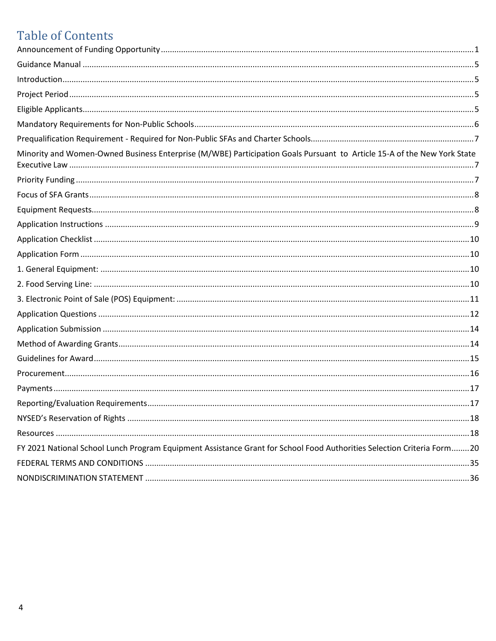# **Table of Contents**

| Minority and Women-Owned Business Enterprise (M/WBE) Participation Goals Pursuant to Article 15-A of the New York State |  |
|-------------------------------------------------------------------------------------------------------------------------|--|
|                                                                                                                         |  |
|                                                                                                                         |  |
|                                                                                                                         |  |
|                                                                                                                         |  |
|                                                                                                                         |  |
|                                                                                                                         |  |
|                                                                                                                         |  |
|                                                                                                                         |  |
|                                                                                                                         |  |
|                                                                                                                         |  |
|                                                                                                                         |  |
|                                                                                                                         |  |
|                                                                                                                         |  |
|                                                                                                                         |  |
|                                                                                                                         |  |
|                                                                                                                         |  |
|                                                                                                                         |  |
|                                                                                                                         |  |
| FY 2021 National School Lunch Program Equipment Assistance Grant for School Food Authorities Selection Criteria Form20  |  |
|                                                                                                                         |  |
|                                                                                                                         |  |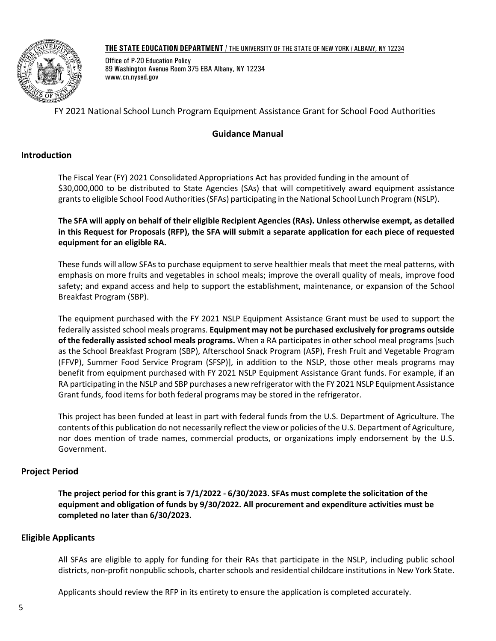#### **THE STATE EDUCATION DEPARTMENT** / THE UNIVERSITY OF THE STATE OF NEW YORK / ALBANY, NY 12234



Office of P-20 Education Policy 89 Washington Avenue Room 375 EBA Albany, NY 12234 www.cn.nysed.gov

# FY 2021 National School Lunch Program Equipment Assistance Grant for School Food Authorities

# **Guidance Manual**

# <span id="page-4-1"></span><span id="page-4-0"></span>**Introduction**

The Fiscal Year (FY) 2021 Consolidated Appropriations Act has provided funding in the amount of \$30,000,000 to be distributed to State Agencies (SAs) that will competitively award equipment assistance grants to eligible School Food Authorities (SFAs) participating in the National School Lunch Program (NSLP).

**The SFA will apply on behalf of their eligible Recipient Agencies (RAs). Unless otherwise exempt, as detailed in this Request for Proposals (RFP), the SFA will submit a separate application for each piece of requested equipment for an eligible RA.**

These funds will allow SFAs to purchase equipment to serve healthier meals that meet the meal patterns, with emphasis on more fruits and vegetables in school meals; improve the overall quality of meals, improve food safety; and expand access and help to support the establishment, maintenance, or expansion of the School Breakfast Program (SBP).

The equipment purchased with the FY 2021 NSLP Equipment Assistance Grant must be used to support the federally assisted school meals programs. **Equipment may not be purchased exclusively for programs outside of the federally assisted school meals programs.** When a RA participates in other school meal programs [such as the School Breakfast Program (SBP), Afterschool Snack Program (ASP), Fresh Fruit and Vegetable Program (FFVP), Summer Food Service Program (SFSP)], in addition to the NSLP, those other meals programs may benefit from equipment purchased with FY 2021 NSLP Equipment Assistance Grant funds. For example, if an RA participating in the NSLP and SBP purchases a new refrigerator with the FY 2021 NSLP Equipment Assistance Grant funds, food items for both federal programs may be stored in the refrigerator.

This project has been funded at least in part with federal funds from the U.S. Department of Agriculture. The contents of this publication do not necessarily reflect the view or policies of the U.S. Department of Agriculture, nor does mention of trade names, commercial products, or organizations imply endorsement by the U.S. Government.

# <span id="page-4-2"></span>**Project Period**

**The project period for this grant is 7/1/2022 - 6/30/2023. SFAs must complete the solicitation of the equipment and obligation of funds by 9/30/2022. All procurement and expenditure activities must be completed no later than 6/30/2023.**

# <span id="page-4-3"></span>**Eligible Applicants**

All SFAs are eligible to apply for funding for their RAs that participate in the NSLP, including public school districts, non-profit nonpublic schools, charter schools and residential childcare institutions in New York State.

Applicants should review the RFP in its entirety to ensure the application is completed accurately.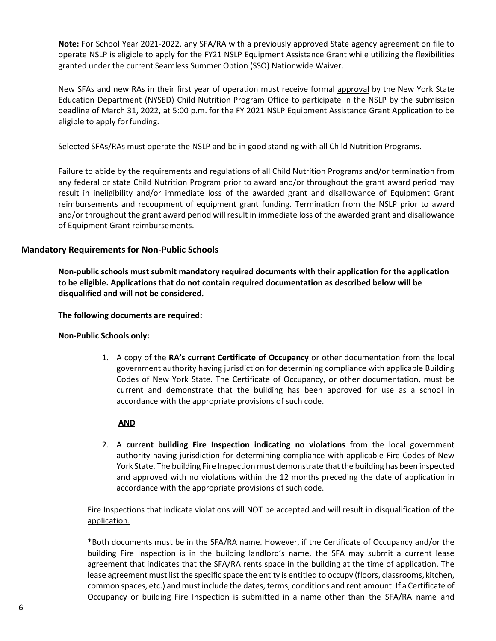**Note:** For School Year 2021-2022, any SFA/RA with a previously approved State agency agreement on file to operate NSLP is eligible to apply for the FY21 NSLP Equipment Assistance Grant while utilizing the flexibilities granted under the current Seamless Summer Option (SSO) Nationwide Waiver.

New SFAs and new RAs in their first year of operation must receive formal approval by the New York State Education Department (NYSED) Child Nutrition Program Office to participate in the NSLP by the submission deadline of March 31, 2022, at 5:00 p.m. for the FY 2021 NSLP Equipment Assistance Grant Application to be eligible to apply forfunding.

Selected SFAs/RAs must operate the NSLP and be in good standing with all Child Nutrition Programs.

Failure to abide by the requirements and regulations of all Child Nutrition Programs and/or termination from any federal or state Child Nutrition Program prior to award and/or throughout the grant award period may result in ineligibility and/or immediate loss of the awarded grant and disallowance of Equipment Grant reimbursements and recoupment of equipment grant funding. Termination from the NSLP prior to award and/or throughout the grant award period will result in immediate loss of the awarded grant and disallowance of Equipment Grant reimbursements.

# <span id="page-5-0"></span>**Mandatory Requirements for Non-Public Schools**

**Non-public schools must submit mandatory required documents with their application for the application to be eligible. Applications that do not contain required documentation as described below will be disqualified and will not be considered.** 

**The following documents are required:**

**Non-Public Schools only:**

1. A copy of the **RA's current Certificate of Occupancy** or other documentation from the local government authority having jurisdiction for determining compliance with applicable Building Codes of New York State. The Certificate of Occupancy, or other documentation, must be current and demonstrate that the building has been approved for use as a school in accordance with the appropriate provisions of such code.

## **AND**

2. A **current building Fire Inspection indicating no violations** from the local government authority having jurisdiction for determining compliance with applicable Fire Codes of New York State. The building Fire Inspection must demonstrate that the building has been inspected and approved with no violations within the 12 months preceding the date of application in accordance with the appropriate provisions of such code.

Fire Inspections that indicate violations will NOT be accepted and will result in disqualification of the application.

\*Both documents must be in the SFA/RA name. However, if the Certificate of Occupancy and/or the building Fire Inspection is in the building landlord's name, the SFA may submit a current lease agreement that indicates that the SFA/RA rents space in the building at the time of application. The lease agreement must list the specific space the entity is entitled to occupy (floors, classrooms, kitchen, common spaces, etc.) and must include the dates, terms, conditions and rent amount. If a Certificate of Occupancy or building Fire Inspection is submitted in a name other than the SFA/RA name and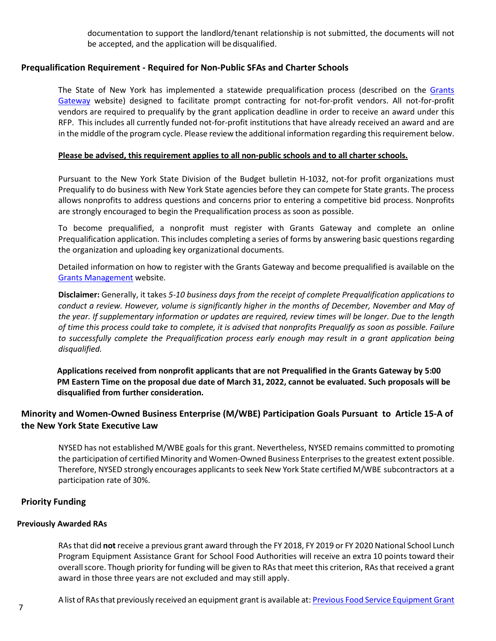documentation to support the landlord/tenant relationship is not submitted, the documents will not be accepted, and the application will be disqualified.

# <span id="page-6-0"></span>**Prequalification Requirement - Required for Non-Public SFAs and Charter Schools**

The State of New York has implemented a statewide prequalification process (described on the [Grants](https://grantsmanagement.ny.gov/resources-grant-applicants) [Gateway](https://grantsmanagement.ny.gov/resources-grant-applicants) website) designed to facilitate prompt contracting for not-for-profit vendors. All not-for-profit vendors are required to prequalify by the grant application deadline in order to receive an award under this RFP. This includes all currently funded not-for-profit institutions that have already received an award and are in the middle of the program cycle. Please review the additional information regarding this requirement below.

## **Please be advised, this requirement applies to all non-public schools and to all charter schools.**

Pursuant to the New York State Division of the Budget bulletin H-1032, not-for profit organizations must Prequalify to do business with New York State agencies before they can compete for State grants. The process allows nonprofits to address questions and concerns prior to entering a competitive bid process. Nonprofits are strongly encouraged to begin the Prequalification process as soon as possible.

To become prequalified, a nonprofit must register with Grants Gateway and complete an online Prequalification application. This includes completing a series of forms by answering basic questions regarding the organization and uploading key organizational documents.

Detailed information on how to register with the Grants Gateway and become prequalified is available on the [Grants Management](https://grantsmanagement.ny.gov/) website.

**Disclaimer:** Generally, it takes *5-10 business days from the receipt of complete Prequalification applications to conduct a review. However, volume is significantly higher in the months of December, November and May of the year. If supplementary information or updates are required, review times will be longer. Due to the length of time this process could take to complete, it is advised that nonprofits Prequalify as soon as possible. Failure to successfully complete the Prequalification process early enough may result in a grant application being disqualified.*

**Applications received from nonprofit applicants that are not Prequalified in the Grants Gateway by 5:00 PM Eastern Time on the proposal due date of March 31, 2022, cannot be evaluated. Such proposals will be disqualified from further consideration.**

# <span id="page-6-1"></span>**Minority and Women-Owned Business Enterprise (M/WBE) Participation Goals Pursuant to Article 15-A of the New York State Executive Law**

NYSED has not established M/WBE goals for this grant. Nevertheless, NYSED remains committed to promoting the participation of certified Minority and Women-Owned Business Enterprisesto the greatest extent possible. Therefore, NYSED strongly encourages applicants to seek New York State certified M/WBE subcontractors at a participation rate of 30%.

## <span id="page-6-2"></span>**Priority Funding**

#### **Previously Awarded RAs**

RAs that did **not** receive a previous grant award through the FY 2018, FY 2019 or FY 2020 National School Lunch Program Equipment Assistance Grant for School Food Authorities will receive an extra 10 points toward their overall score. Though priority for funding will be given to RAs that meet this criterion, RAs that received a grant award in those three years are not excluded and may still apply.

A list of RAs that previously received an equipment grant is available at: Previous Food Service Equipment Grant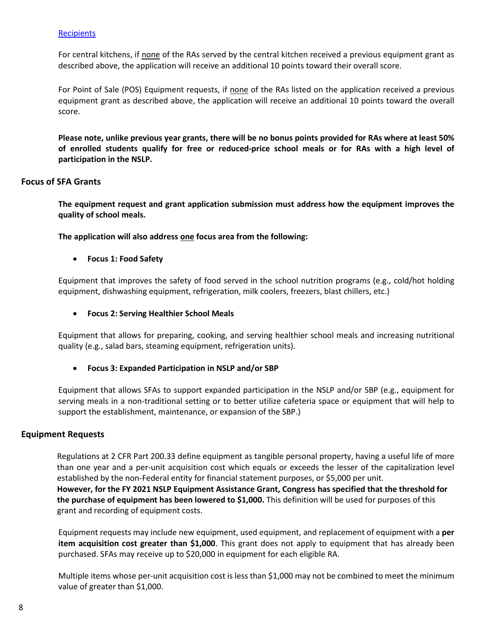## **[Recipients](http://www.cn.nysed.gov/common/cn/files/fy21prefsequipgrantrecip.pdf)**

For central kitchens, if none of the RAs served by the central kitchen received a previous equipment grant as described above, the application will receive an additional 10 points toward their overall score.

For Point of Sale (POS) Equipment requests, if none of the RAs listed on the application received a previous equipment grant as described above, the application will receive an additional 10 points toward the overall score.

**Please note, unlike previous year grants, there will be no bonus points provided for RAs where at least 50% of enrolled students qualify for free or reduced-price school meals or for RAs with a high level of participation in the NSLP.** 

## <span id="page-7-0"></span>**Focus of SFA Grants**

**The equipment request and grant application submission must address how the equipment improves the quality of school meals.**

**The application will also address one focus area from the following:**

• **Focus 1: Food Safety**

Equipment that improves the safety of food served in the school nutrition programs (e.g., cold/hot holding equipment, dishwashing equipment, refrigeration, milk coolers, freezers, blast chillers, etc.)

• **Focus 2: Serving Healthier School Meals**

Equipment that allows for preparing, cooking, and serving healthier school meals and increasing nutritional quality (e.g., salad bars, steaming equipment, refrigeration units).

• **Focus 3: Expanded Participation in NSLP and/or SBP** 

Equipment that allows SFAs to support expanded participation in the NSLP and/or SBP (e.g., equipment for serving meals in a non-traditional setting or to better utilize cafeteria space or equipment that will help to support the establishment, maintenance, or expansion of the SBP.)

## <span id="page-7-1"></span>**Equipment Requests**

Regulations at 2 CFR Part 200.33 define equipment as tangible personal property, having a useful life of more than one year and a per-unit acquisition cost which equals or exceeds the lesser of the capitalization level established by the non-Federal entity for financial statement purposes, or \$5,000 per unit. **However, for the FY 2021 NSLP Equipment Assistance Grant, Congress has specified that the threshold for the purchase of equipment has been lowered to \$1,000.** This definition will be used for purposes of this grant and recording of equipment costs.

Equipment requests may include new equipment, used equipment, and replacement of equipment with a **per item acquisition cost greater than \$1,000**. This grant does not apply to equipment that has already been purchased. SFAs may receive up to \$20,000 in equipment for each eligible RA.

Multiple items whose per-unit acquisition cost is less than \$1,000 may not be combined to meet the minimum value of greater than \$1,000.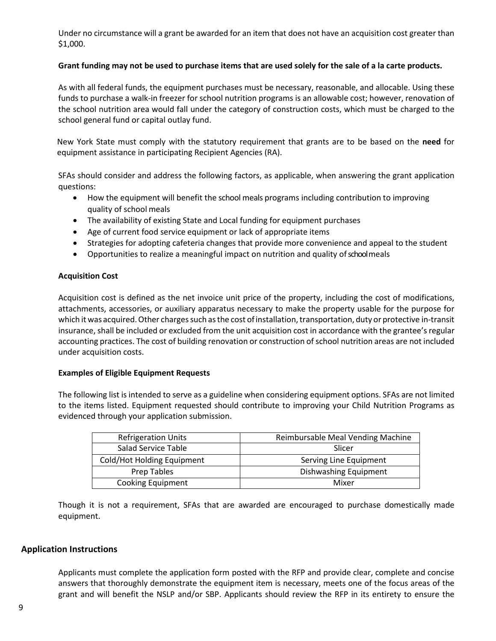Under no circumstance will a grant be awarded for an item that does not have an acquisition cost greater than \$1,000.

## **Grant funding may not be used to purchase items that are used solely for the sale of a la carte products.**

As with all federal funds, the equipment purchases must be necessary, reasonable, and allocable. Using these funds to purchase a walk-in freezer for school nutrition programs is an allowable cost; however, renovation of the school nutrition area would fall under the category of construction costs, which must be charged to the school general fund or capital outlay fund.

New York State must comply with the statutory requirement that grants are to be based on the **need** for equipment assistance in participating Recipient Agencies (RA).

SFAs should consider and address the following factors, as applicable, when answering the grant application questions:

- How the equipment will benefit the school meals programs including contribution to improving quality of school meals
- The availability of existing State and Local funding for equipment purchases
- Age of current food service equipment or lack of appropriate items
- Strategies for adopting cafeteria changes that provide more convenience and appeal to the student
- Opportunities to realize a meaningful impact on nutrition and quality of school meals

# **Acquisition Cost**

Acquisition cost is defined as the net invoice unit price of the property, including the cost of modifications, attachments, accessories, or auxiliary apparatus necessary to make the property usable for the purpose for which it was acquired. Other charges such as the cost of installation, transportation, duty or protective in-transit insurance, shall be included or excluded from the unit acquisition cost in accordance with the grantee's regular accounting practices. The cost of building renovation or construction of school nutrition areas are not included under acquisition costs.

## **Examples of Eligible Equipment Requests**

The following list is intended to serve as a guideline when considering equipment options. SFAs are not limited to the items listed. Equipment requested should contribute to improving your Child Nutrition Programs as evidenced through your application submission.

| <b>Refrigeration Units</b> | Reimbursable Meal Vending Machine |
|----------------------------|-----------------------------------|
| Salad Service Table        | Slicer                            |
| Cold/Hot Holding Equipment | Serving Line Equipment            |
| Prep Tables                | Dishwashing Equipment             |
| <b>Cooking Equipment</b>   | Mixer                             |

Though it is not a requirement, SFAs that are awarded are encouraged to purchase domestically made equipment.

# <span id="page-8-0"></span>**Application Instructions**

Applicants must complete the application form posted with the RFP and provide clear, complete and concise answers that thoroughly demonstrate the equipment item is necessary, meets one of the focus areas of the grant and will benefit the NSLP and/or SBP. Applicants should review the RFP in its entirety to ensure the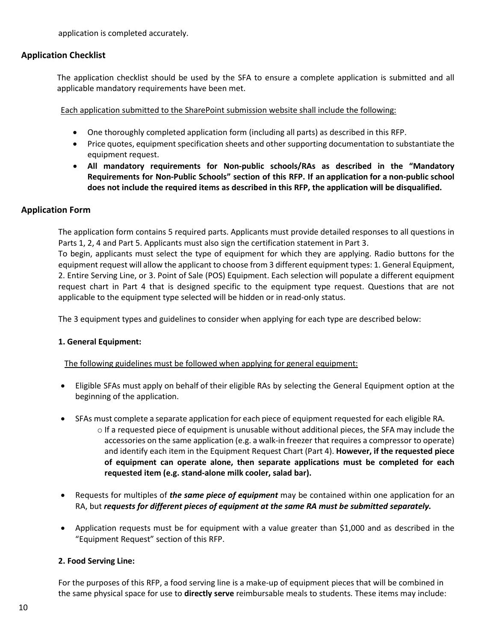application is completed accurately.

# <span id="page-9-0"></span>**Application Checklist**

The application checklist should be used by the SFA to ensure a complete application is submitted and all applicable mandatory requirements have been met.

Each application submitted to the SharePoint submission website shall include the following:

- One thoroughly completed application form (including all parts) as described in this RFP.
- Price quotes, equipment specification sheets and other supporting documentation to substantiate the equipment request.
- **All mandatory requirements for Non-public schools/RAs as described in the "Mandatory Requirements for Non-Public Schools" section of this RFP. If an application for a non-public school does not include the required items as described in this RFP, the application will be disqualified.**

# <span id="page-9-1"></span>**Application Form**

The application form contains 5 required parts. Applicants must provide detailed responses to all questions in Parts 1, 2, 4 and Part 5. Applicants must also sign the certification statement in Part 3.

To begin, applicants must select the type of equipment for which they are applying. Radio buttons for the equipment request will allow the applicant to choose from 3 different equipment types: 1. General Equipment, 2. Entire Serving Line, or 3. Point of Sale (POS) Equipment. Each selection will populate a different equipment request chart in Part 4 that is designed specific to the equipment type request. Questions that are not applicable to the equipment type selected will be hidden or in read-only status.

The 3 equipment types and guidelines to consider when applying for each type are described below:

## <span id="page-9-2"></span>**1. General Equipment:**

The following guidelines must be followed when applying for general equipment:

- Eligible SFAs must apply on behalf of their eligible RAs by selecting the General Equipment option at the beginning of the application.
- SFAs must complete a separate application for each piece of equipment requested for each eligible RA.
	- $\circ$  If a requested piece of equipment is unusable without additional pieces, the SFA may include the accessories on the same application (e.g. a walk-in freezer that requires a compressor to operate) and identify each item in the Equipment Request Chart (Part 4). **However, if the requested piece of equipment can operate alone, then separate applications must be completed for each requested item (e.g. stand-alone milk cooler, salad bar).**
- Requests for multiples of *the same piece of equipment* may be contained within one application for an RA, but *requests for different pieces of equipment at the same RA must be submitted separately.*
- Application requests must be for equipment with a value greater than \$1,000 and as described in the "Equipment Request" section of this RFP.

## <span id="page-9-3"></span>**2. Food Serving Line:**

For the purposes of this RFP, a food serving line is a make-up of equipment pieces that will be combined in the same physical space for use to **directly serve** reimbursable meals to students. These items may include: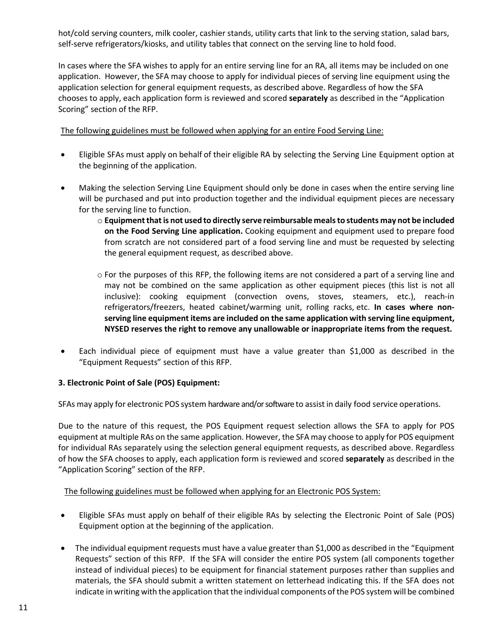hot/cold serving counters, milk cooler, cashier stands, utility carts that link to the serving station, salad bars, self-serve refrigerators/kiosks, and utility tables that connect on the serving line to hold food.

In cases where the SFA wishes to apply for an entire serving line for an RA, all items may be included on one application. However, the SFA may choose to apply for individual pieces of serving line equipment using the application selection for general equipment requests, as described above. Regardless of how the SFA chooses to apply, each application form is reviewed and scored **separately** as described in the "Application Scoring" section of the RFP.

The following guidelines must be followed when applying for an entire Food Serving Line:

- Eligible SFAs must apply on behalf of their eligible RA by selecting the Serving Line Equipment option at the beginning of the application.
- Making the selection Serving Line Equipment should only be done in cases when the entire serving line will be purchased and put into production together and the individual equipment pieces are necessary for the serving line to function.
	- o **Equipmentthatis not used to directly serve reimbursable mealsto students may not be included on the Food Serving Line application.** Cooking equipment and equipment used to prepare food from scratch are not considered part of a food serving line and must be requested by selecting the general equipment request, as described above.
	- $\circ$  For the purposes of this RFP, the following items are not considered a part of a serving line and may not be combined on the same application as other equipment pieces (this list is not all inclusive): cooking equipment (convection ovens, stoves, steamers, etc.), reach-in refrigerators/freezers, heated cabinet/warming unit, rolling racks, etc. **In cases where nonserving line equipment items are included on the same application with serving line equipment, NYSED reserves the right to remove any unallowable or inappropriate items from the request.**
- Each individual piece of equipment must have a value greater than \$1,000 as described in the "Equipment Requests" section of this RFP.

# <span id="page-10-0"></span>**3. Electronic Point of Sale (POS) Equipment:**

SFAs may apply for electronic POS system hardware and/or software to assist in daily food service operations.

Due to the nature of this request, the POS Equipment request selection allows the SFA to apply for POS equipment at multiple RAs on the same application. However, the SFA may choose to apply for POS equipment for individual RAs separately using the selection general equipment requests, as described above. Regardless of how the SFA chooses to apply, each application form is reviewed and scored **separately** as described in the "Application Scoring" section of the RFP.

# The following guidelines must be followed when applying for an Electronic POS System:

- Eligible SFAs must apply on behalf of their eligible RAs by selecting the Electronic Point of Sale (POS) Equipment option at the beginning of the application.
- The individual equipment requests must have a value greater than \$1,000 as described in the "Equipment Requests" section of this RFP. If the SFA will consider the entire POS system (all components together instead of individual pieces) to be equipment for financial statement purposes rather than supplies and materials, the SFA should submit a written statement on letterhead indicating this. If the SFA does not indicate in writing with the application that the individual components of the POS system will be combined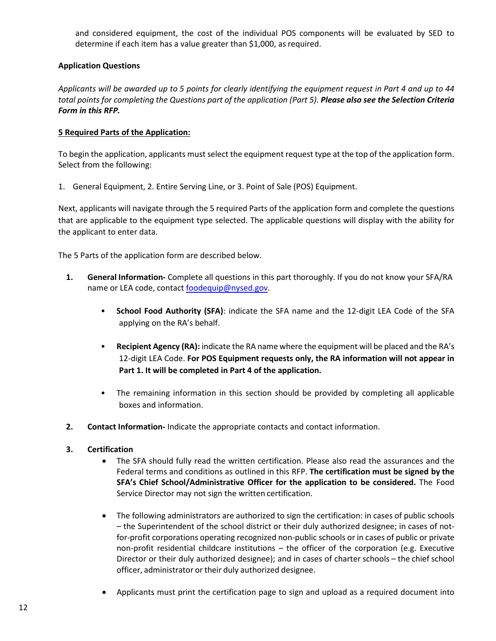and considered equipment, the cost of the individual POS components will be evaluated by SED to determine if each item has a value greater than \$1,000, as required.

# <span id="page-11-0"></span>**Application Questions**

*Applicants will be awarded up to 5 points for clearly identifying the equipment request in Part 4 and up to 44 total points for completing the Questions part of the application (Part 5). Please also see the Selection Criteria Form in this RFP.*

## **5 Required Parts of the Application:**

To begin the application, applicants must select the equipment request type at the top of the application form. Select from the following:

1. General Equipment, 2. Entire Serving Line, or 3. Point of Sale (POS) Equipment.

Next, applicants will navigate through the 5 required Parts of the application form and complete the questions that are applicable to the equipment type selected. The applicable questions will display with the ability for the applicant to enter data.

The 5 Parts of the application form are described below.

- **1. General Information-** Complete all questions in this part thoroughly. If you do not know your SFA/RA name or LEA code, contac[t foodequip@nysed.gov.](mailto:foodequip@nysed.gov)
	- **School Food Authority (SFA)**: indicate the SFA name and the 12-digit LEA Code of the SFA applying on the RA's behalf.
	- **Recipient Agency (RA):** indicate the RA name where the equipment will be placed and the RA's 12-digit LEA Code. **For POS Equipment requests only, the RA information will not appear in Part 1. It will be completed in Part 4 of the application.**
	- The remaining information in this section should be provided by completing all applicable boxes and information.
- **2. Contact Information-** Indicate the appropriate contacts and contact information.

# **3. Certification**

- The SFA should fully read the written certification. Please also read the assurances and the Federal terms and conditions as outlined in this RFP. **The certification must be signed by the SFA's Chief School/Administrative Officer for the application to be considered.** The Food Service Director may not sign the written certification.
- The following administrators are authorized to sign the certification: in cases of public schools – the Superintendent of the school district or their duly authorized designee; in cases of notfor-profit corporations operating recognized non-public schools or in cases of public or private non-profit residential childcare institutions – the officer of the corporation (e.g. Executive Director or their duly authorized designee); and in cases of charter schools – the chief school officer, administrator or their duly authorized designee.
- Applicants must print the certification page to sign and upload as a required document into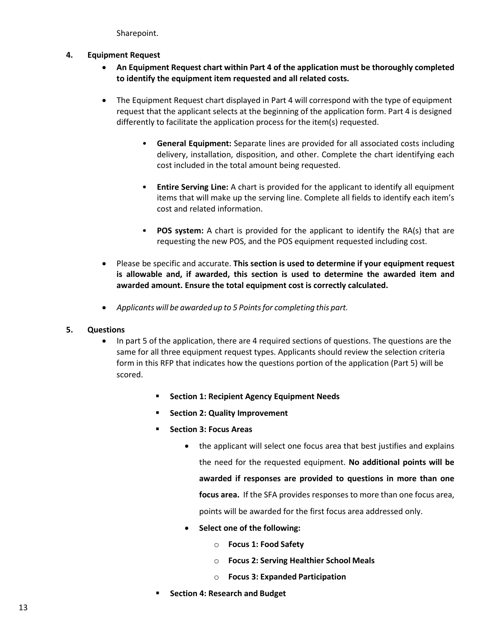Sharepoint.

- **4. Equipment Request**
	- **An Equipment Request chart within Part 4 of the application must be thoroughly completed to identify the equipment item requested and all related costs.**
	- The Equipment Request chart displayed in Part 4 will correspond with the type of equipment request that the applicant selects at the beginning of the application form. Part 4 is designed differently to facilitate the application process for the item(s) requested.
		- **General Equipment:** Separate lines are provided for all associated costs including delivery, installation, disposition, and other. Complete the chart identifying each cost included in the total amount being requested.
		- **Entire Serving Line:** A chart is provided for the applicant to identify all equipment items that will make up the serving line. Complete all fields to identify each item's cost and related information.
		- **POS system:** A chart is provided for the applicant to identify the RA(s) that are requesting the new POS, and the POS equipment requested including cost.
	- Please be specific and accurate. **This section is used to determine if your equipment request is allowable and, if awarded, this section is used to determine the awarded item and awarded amount. Ensure the total equipment cost is correctly calculated.**
	- *Applicants will be awardedup to 5 Pointsfor completing this part.*

# **5. Questions**

- In part 5 of the application, there are 4 required sections of questions. The questions are the same for all three equipment request types. Applicants should review the selection criteria form in this RFP that indicates how the questions portion of the application (Part 5) will be scored.
	- **F** Section 1: Recipient Agency Equipment Needs
	- **Section 2: Quality Improvement**
	- **Fig. 3: Focus Areas** 
		- the applicant will select one focus area that best justifies and explains the need for the requested equipment. **No additional points will be awarded if responses are provided to questions in more than one focus area.** If the SFA provides responses to more than one focus area, points will be awarded for the first focus area addressed only.
		- **Select one of the following:**
			- o **Focus 1: Food Safety**
			- o **Focus 2: Serving Healthier School Meals**
			- o **Focus 3: Expanded Participation**
	- **Section 4: Research and Budget**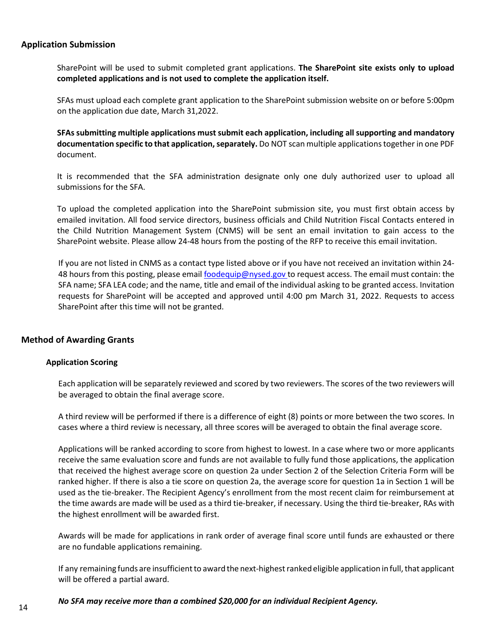# <span id="page-13-0"></span>**Application Submission**

SharePoint will be used to submit completed grant applications. **The SharePoint site exists only to upload completed applications and is not used to complete the application itself.**

SFAs must upload each complete grant application to the SharePoint submission website on or before 5:00pm on the application due date, March 31,2022.

**SFAs submitting multiple applications must submit each application, including all supporting and mandatory documentation specific to that application, separately.** Do NOT scan multiple applications together in one PDF document.

It is recommended that the SFA administration designate only one duly authorized user to upload all submissions for the SFA.

To upload the completed application into the SharePoint submission site, you must first obtain access by emailed invitation. All food service directors, business officials and Child Nutrition Fiscal Contacts entered in the Child Nutrition Management System (CNMS) will be sent an email invitation to gain access to the SharePoint website. Please allow 24-48 hours from the posting of the RFP to receive this email invitation.

If you are not listed in CNMS as a contact type listed above or if you have not received an invitation within 24- 48 hours from this posting, please email [foodequip@nysed.gov t](mailto:foodequip@nysed.gov)o request access. The email must contain: the SFA name; SFA LEA code; and the name, title and email of the individual asking to be granted access. Invitation requests for SharePoint will be accepted and approved until 4:00 pm March 31, 2022. Requests to access SharePoint after this time will not be granted.

## <span id="page-13-1"></span>**Method of Awarding Grants**

#### **Application Scoring**

Each application will be separately reviewed and scored by two reviewers. The scores of the two reviewers will be averaged to obtain the final average score.

A third review will be performed if there is a difference of eight (8) points or more between the two scores. In cases where a third review is necessary, all three scores will be averaged to obtain the final average score.

Applications will be ranked according to score from highest to lowest. In a case where two or more applicants receive the same evaluation score and funds are not available to fully fund those applications, the application that received the highest average score on question 2a under Section 2 of the Selection Criteria Form will be ranked higher. If there is also a tie score on question 2a, the average score for question 1a in Section 1 will be used as the tie-breaker. The Recipient Agency's enrollment from the most recent claim for reimbursement at the time awards are made will be used as a third tie-breaker, if necessary. Using the third tie-breaker, RAs with the highest enrollment will be awarded first.

Awards will be made for applications in rank order of average final score until funds are exhausted or there are no fundable applications remaining.

If any remaining funds are insufficient to award the next-highest ranked eligible application in full, that applicant will be offered a partial award.

## *No SFA may receive more than a combined \$20,000 for an individual Recipient Agency.*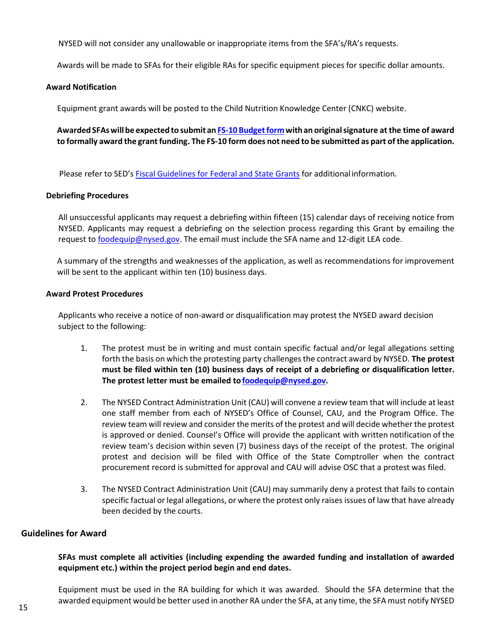NYSED will not consider any unallowable or inappropriate items from the SFA's/RA's requests.

Awards will be made to SFAs for their eligible RAs for specific equipment pieces for specific dollar amounts.

#### **Award Notification**

Equipment grant awards will be posted to the Child Nutrition Knowledge Center (CNKC) website.

**Awarded SFAswill be expected to submit an FS-10 [Budgetform](http://www.oms.nysed.gov/cafe/forms) withan originalsignature at the time of award to formally award the grant funding. The FS-10 form does not need to be submitted as part of the application.** 

Please refer to SED's [Fiscal Guidelines for Federal and State Grants](http://www.oms.nysed.gov/cafe/guidance/guidelines.html) for additional information.

#### **Debriefing Procedures**

All unsuccessful applicants may request a debriefing within fifteen (15) calendar days of receiving notice from NYSED. Applicants may request a debriefing on the selection process regarding this Grant by emailing the request t[o foodequip@nysed.gov.](mailto:foodequip@nysed.gov) The email must include the SFA name and 12-digit LEA code.

A summary of the strengths and weaknesses of the application, as well as recommendations for improvement will be sent to the applicant within ten (10) business days.

#### **Award Protest Procedures**

Applicants who receive a notice of non-award or disqualification may protest the NYSED award decision subject to the following:

- 1. The protest must be in writing and must contain specific factual and/or legal allegations setting forth the basis on which the protesting party challengesthe contract award by NYSED. **The protest must be filed within ten (10) business days of receipt of a debriefing or disqualification letter. The protest letter must be emailed to [foodequip@nysed.gov.](mailto:foodequip@nysed.gov)**
- 2. The NYSED Contract Administration Unit (CAU) will convene a review team that will include at least one staff member from each of NYSED's Office of Counsel, CAU, and the Program Office. The review team will review and consider the merits of the protest and will decide whether the protest is approved or denied. Counsel's Office will provide the applicant with written notification of the review team's decision within seven (7) business days of the receipt of the protest. The original protest and decision will be filed with Office of the State Comptroller when the contract procurement record is submitted for approval and CAU will advise OSC that a protest was filed.
- 3. The NYSED Contract Administration Unit (CAU) may summarily deny a protest that fails to contain specific factual or legal allegations, or where the protest only raises issues of law that have already been decided by the courts.

## <span id="page-14-0"></span>**Guidelines for Award**

## **SFAs must complete all activities (including expending the awarded funding and installation of awarded equipment etc.) within the project period begin and end dates.**

Equipment must be used in the RA building for which it was awarded. Should the SFA determine that the awarded equipment would be better used in another RA under the SFA, at any time, the SFA must notify NYSED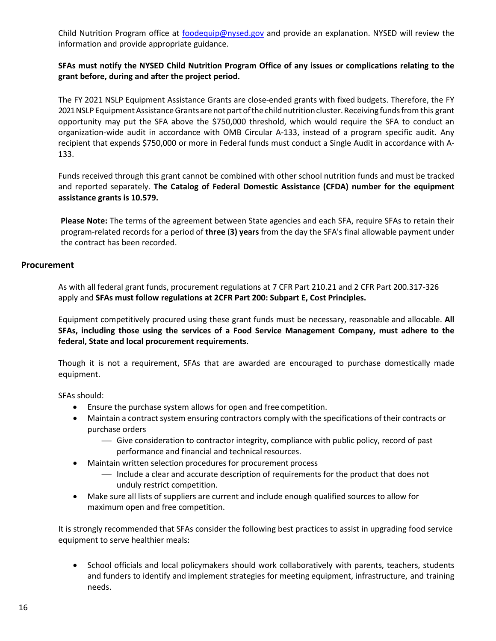Child Nutrition Program office at [foodequip@nysed.gov](mailto:foodequip@nysed.gov) and provide an explanation. NYSED will review the information and provide appropriate guidance.

# **SFAs must notify the NYSED Child Nutrition Program Office of any issues or complications relating to the grant before, during and after the project period.**

The FY 2021 NSLP Equipment Assistance Grants are close-ended grants with fixed budgets. Therefore, the FY 2021 NSLP Equipment Assistance Grants are not part of the child nutrition cluster. Receiving funds from this grant opportunity may put the SFA above the \$750,000 threshold, which would require the SFA to conduct an organization-wide audit in accordance with OMB Circular A-133, instead of a program specific audit. Any recipient that expends \$750,000 or more in Federal funds must conduct a Single Audit in accordance with A-133.

Funds received through this grant cannot be combined with other school nutrition funds and must be tracked and reported separately. **The Catalog of Federal Domestic Assistance (CFDA) number for the equipment assistance grants is 10.579.**

**Please Note:** The terms of the agreement between State agencies and each SFA, require SFAs to retain their program-related records for a period of **three** (**3) years** from the day the SFA's final allowable payment under the contract has been recorded.

# <span id="page-15-0"></span>**Procurement**

As with all federal grant funds, procurement regulations at 7 CFR Part 210.21 and 2 CFR Part 200.317-326 apply and **SFAs must follow regulations at 2CFR Part 200: Subpart E, Cost Principles.**

Equipment competitively procured using these grant funds must be necessary, reasonable and allocable. **All SFAs, including those using the services of a Food Service Management Company, must adhere to the federal, State and local procurement requirements.**

Though it is not a requirement, SFAs that are awarded are encouraged to purchase domestically made equipment.

SFAs should:

- Ensure the purchase system allows for open and free competition.
- Maintain a contract system ensuring contractors comply with the specifications of their contracts or purchase orders
	- Give consideration to contractor integrity, compliance with public policy, record of past performance and financial and technical resources.
- Maintain written selection procedures for procurement process
	- Include a clear and accurate description of requirements for the product that does not unduly restrict competition.
- Make sure all lists of suppliers are current and include enough qualified sources to allow for maximum open and free competition.

It is strongly recommended that SFAs consider the following best practices to assist in upgrading food service equipment to serve healthier meals:

• School officials and local policymakers should work collaboratively with parents, teachers, students and funders to identify and implement strategies for meeting equipment, infrastructure, and training needs.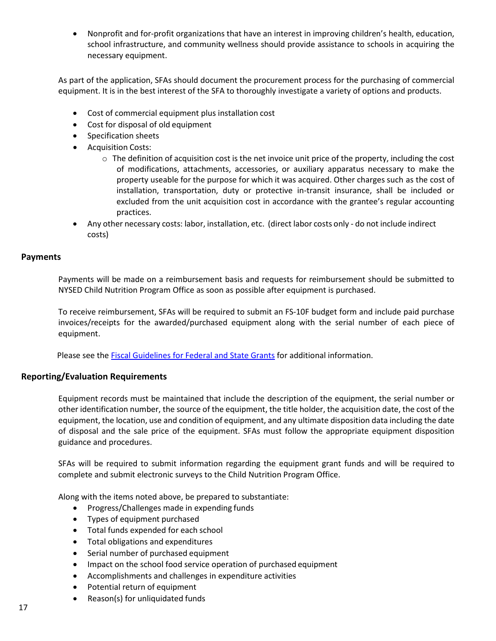• Nonprofit and for-profit organizations that have an interest in improving children's health, education, school infrastructure, and community wellness should provide assistance to schools in acquiring the necessary equipment.

As part of the application, SFAs should document the procurement process for the purchasing of commercial equipment. It is in the best interest of the SFA to thoroughly investigate a variety of options and products.

- Cost of commercial equipment plus installation cost
- Cost for disposal of old equipment
- Specification sheets
- Acquisition Costs:
	- $\circ$  The definition of acquisition cost is the net invoice unit price of the property, including the cost of modifications, attachments, accessories, or auxiliary apparatus necessary to make the property useable for the purpose for which it was acquired. Other charges such as the cost of installation, transportation, duty or protective in-transit insurance, shall be included or excluded from the unit acquisition cost in accordance with the grantee's regular accounting practices.
- Any other necessary costs: labor, installation, etc. (direct labor costs only do not include indirect costs)

#### <span id="page-16-0"></span>**Payments**

Payments will be made on a reimbursement basis and requests for reimbursement should be submitted to NYSED Child Nutrition Program Office as soon as possible after equipment is purchased.

To receive reimbursement, SFAs will be required to submit an FS-10F budget form and include paid purchase invoices/receipts for the awarded/purchased equipment along with the serial number of each piece of equipment.

Please see the [Fiscal Guidelines for Federal and State Grants](http://www.oms.nysed.gov/cafe/guidance/guidelines.html) for additional information.

## <span id="page-16-1"></span>**Reporting/Evaluation Requirements**

Equipment records must be maintained that include the description of the equipment, the serial number or other identification number, the source of the equipment, the title holder, the acquisition date, the cost of the equipment, the location, use and condition of equipment, and any ultimate disposition data including the date of disposal and the sale price of the equipment. SFAs must follow the appropriate equipment disposition guidance and procedures.

SFAs will be required to submit information regarding the equipment grant funds and will be required to complete and submit electronic surveys to the Child Nutrition Program Office.

Along with the items noted above, be prepared to substantiate:

- Progress/Challenges made in expending funds
- Types of equipment purchased
- Total funds expended for each school
- Total obligations and expenditures
- Serial number of purchased equipment
- Impact on the school food service operation of purchased equipment
- Accomplishments and challenges in expenditure activities
- Potential return of equipment
- Reason(s) for unliquidated funds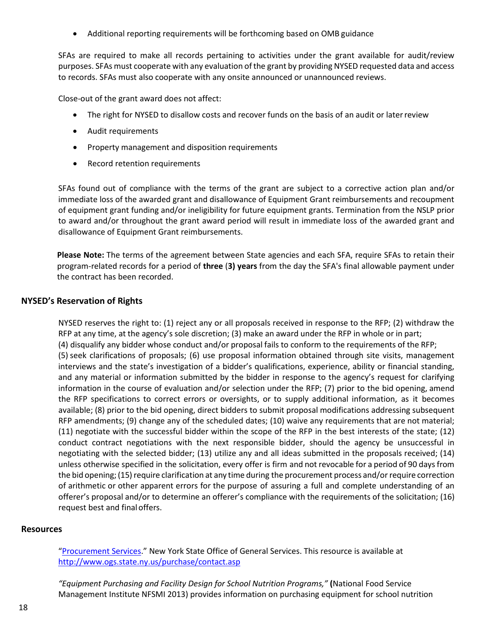• Additional reporting requirements will be forthcoming based on OMB guidance

SFAs are required to make all records pertaining to activities under the grant available for audit/review purposes. SFAs must cooperate with any evaluation of the grant by providing NYSED requested data and access to records. SFAs must also cooperate with any onsite announced or unannounced reviews.

Close-out of the grant award does not affect:

- The right for NYSED to disallow costs and recover funds on the basis of an audit or later review
- Audit requirements
- Property management and disposition requirements
- Record retention requirements

SFAs found out of compliance with the terms of the grant are subject to a corrective action plan and/or immediate loss of the awarded grant and disallowance of Equipment Grant reimbursements and recoupment of equipment grant funding and/or ineligibility for future equipment grants. Termination from the NSLP prior to award and/or throughout the grant award period will result in immediate loss of the awarded grant and disallowance of Equipment Grant reimbursements.

**Please Note:** The terms of the agreement between State agencies and each SFA, require SFAs to retain their program-related records for a period of **three** (**3) years** from the day the SFA's final allowable payment under the contract has been recorded.

# <span id="page-17-0"></span>**NYSED's Reservation of Rights**

NYSED reserves the right to: (1) reject any or all proposals received in response to the RFP; (2) withdraw the RFP at any time, at the agency's sole discretion; (3) make an award under the RFP in whole or in part; (4) disqualify any bidder whose conduct and/or proposal fails to conform to the requirements of the RFP; (5) seek clarifications of proposals; (6) use proposal information obtained through site visits, management interviews and the state's investigation of a bidder's qualifications, experience, ability or financial standing, and any material or information submitted by the bidder in response to the agency's request for clarifying information in the course of evaluation and/or selection under the RFP; (7) prior to the bid opening, amend the RFP specifications to correct errors or oversights, or to supply additional information, as it becomes available; (8) prior to the bid opening, direct bidders to submit proposal modifications addressing subsequent RFP amendments; (9) change any of the scheduled dates; (10) waive any requirements that are not material; (11) negotiate with the successful bidder within the scope of the RFP in the best interests of the state; (12) conduct contract negotiations with the next responsible bidder, should the agency be unsuccessful in negotiating with the selected bidder; (13) utilize any and all ideas submitted in the proposals received; (14) unless otherwise specified in the solicitation, every offer is firm and not revocable for a period of 90 daysfrom the bid opening; (15) require clarification at any time during the procurement process and/or require correction of arithmetic or other apparent errors for the purpose of assuring a full and complete understanding of an offerer's proposal and/or to determine an offerer's compliance with the requirements of the solicitation; (16) request best and final offers.

## <span id="page-17-1"></span>**Resources**

["Procurement Services."](http://www.ogs.state.ny.us/purchase/contact.asp) New York State Office of General Services. This resource is available at <http://www.ogs.state.ny.us/purchase/contact.asp>

*"Equipment Purchasing and Facility Design for School Nutrition Programs,"* **(**National Food Service Management Institute NFSMI 2013) provides information on purchasing equipment for school nutrition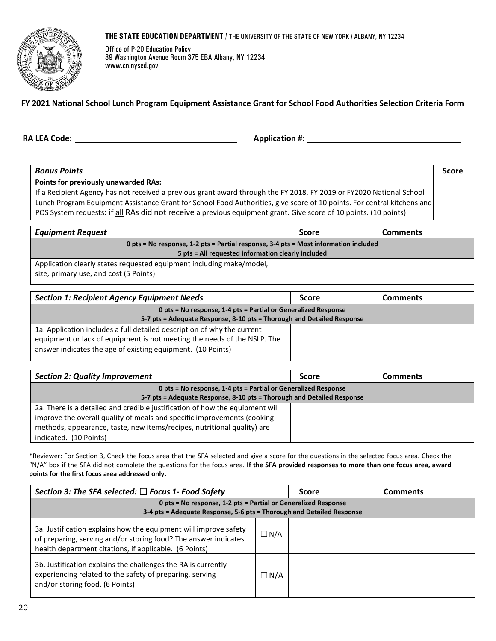#### **THE STATE EDUCATION DEPARTMENT** / THE UNIVERSITY OF THE STATE OF NEW YORK / ALBANY, NY 12234



Office of P-20 Education Policy 89 Washington Avenue Room 375 EBA Albany, NY 12234 www.cn.nysed.gov

## <span id="page-19-0"></span>**FY 2021 National School Lunch Program Equipment Assistance Grant for School Food Authorities Selection Criteria Form**

**RA LEA Code: Application #:** 

| <b>Bonus Points</b>                                                                                                     | <b>Score</b> |
|-------------------------------------------------------------------------------------------------------------------------|--------------|
| Points for previously unawarded RAs:                                                                                    |              |
| If a Recipient Agency has not received a previous grant award through the FY 2018, FY 2019 or FY2020 National School    |              |
| Lunch Program Equipment Assistance Grant for School Food Authorities, give score of 10 points. For central kitchens and |              |
| POS System requests: if all RAs did not receive a previous equipment grant. Give score of 10 points. (10 points)        |              |

| <b>Equipment Request</b>                                                             | <b>Score</b> | <b>Comments</b> |  |
|--------------------------------------------------------------------------------------|--------------|-----------------|--|
| 0 pts = No response, 1-2 pts = Partial response, 3-4 pts = Most information included |              |                 |  |
| 5 pts = All requested information clearly included                                   |              |                 |  |
| Application clearly states requested equipment including make/model,                 |              |                 |  |
| size, primary use, and cost (5 Points)                                               |              |                 |  |
|                                                                                      |              |                 |  |

| <b>Section 1: Recipient Agency Equipment Needs</b>                                                                                                                                                                 | <b>Score</b> | Comments |
|--------------------------------------------------------------------------------------------------------------------------------------------------------------------------------------------------------------------|--------------|----------|
| 0 pts = No response, 1-4 pts = Partial or Generalized Response                                                                                                                                                     |              |          |
| 5-7 pts = Adequate Response, 8-10 pts = Thorough and Detailed Response                                                                                                                                             |              |          |
| 1a. Application includes a full detailed description of why the current<br>equipment or lack of equipment is not meeting the needs of the NSLP. The<br>answer indicates the age of existing equipment. (10 Points) |              |          |

| <b>Section 2: Quality Improvement</b>                                        | <b>Score</b> | Comments |
|------------------------------------------------------------------------------|--------------|----------|
| 0 pts = No response, 1-4 pts = Partial or Generalized Response               |              |          |
| 5-7 pts = Adequate Response, 8-10 pts = Thorough and Detailed Response       |              |          |
| 2a. There is a detailed and credible justification of how the equipment will |              |          |
| improve the overall quality of meals and specific improvements (cooking      |              |          |
| methods, appearance, taste, new items/recipes, nutritional quality) are      |              |          |
| indicated. (10 Points)                                                       |              |          |

\*Reviewer: For Section 3, Check the focus area that the SFA selected and give a score for the questions in the selected focus area. Check the "N/A" box if the SFA did not complete the questions for the focus area. **If the SFA provided responses to more than one focus area, award points for the first focus area addressed only.**

| Section 3: The SFA selected: $\Box$ Focus 1- Food Safety                                                                                                                                      |               | <b>Score</b> | <b>Comments</b> |
|-----------------------------------------------------------------------------------------------------------------------------------------------------------------------------------------------|---------------|--------------|-----------------|
| 0 pts = No response, 1-2 pts = Partial or Generalized Response<br>3-4 pts = Adequate Response, 5-6 pts = Thorough and Detailed Response                                                       |               |              |                 |
| 3a. Justification explains how the equipment will improve safety<br>of preparing, serving and/or storing food? The answer indicates<br>health department citations, if applicable. (6 Points) | $\square$ N/A |              |                 |
| 3b. Justification explains the challenges the RA is currently<br>experiencing related to the safety of preparing, serving<br>and/or storing food. (6 Points)                                  | $\Box$ N/A    |              |                 |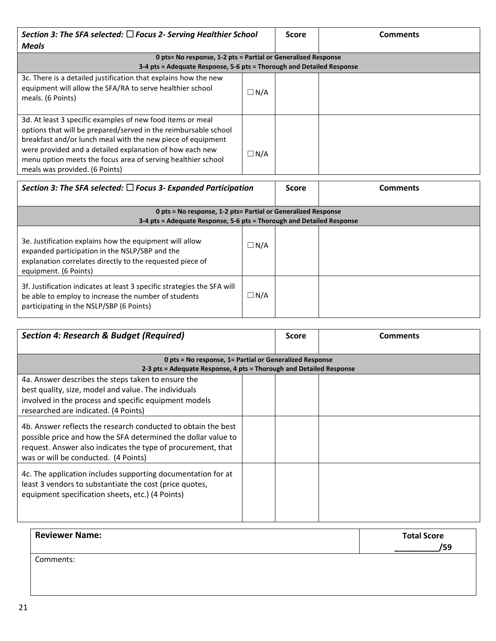| Section 3: The SFA selected: $\Box$ Focus 2- Serving Healthier School                                                                                                                                                                                                                                                                                      |               | <b>Score</b> | <b>Comments</b> |
|------------------------------------------------------------------------------------------------------------------------------------------------------------------------------------------------------------------------------------------------------------------------------------------------------------------------------------------------------------|---------------|--------------|-----------------|
| <b>Meals</b>                                                                                                                                                                                                                                                                                                                                               |               |              |                 |
| 0 pts= No response, 1-2 pts = Partial or Generalized Response                                                                                                                                                                                                                                                                                              |               |              |                 |
| 3-4 pts = Adequate Response, 5-6 pts = Thorough and Detailed Response                                                                                                                                                                                                                                                                                      |               |              |                 |
| 3c. There is a detailed justification that explains how the new<br>equipment will allow the SFA/RA to serve healthier school<br>meals. (6 Points)                                                                                                                                                                                                          | $\Box$ N/A    |              |                 |
| 3d. At least 3 specific examples of new food items or meal<br>options that will be prepared/served in the reimbursable school<br>breakfast and/or lunch meal with the new piece of equipment<br>were provided and a detailed explanation of how each new<br>menu option meets the focus area of serving healthier school<br>meals was provided. (6 Points) | $\square$ N/A |              |                 |

| Section 3: The SFA selected: $\Box$ Focus 3- Expanded Participation                                                                                                                             |            | <b>Score</b> | <b>Comments</b> |
|-------------------------------------------------------------------------------------------------------------------------------------------------------------------------------------------------|------------|--------------|-----------------|
| 0 pts = No response, 1-2 pts= Partial or Generalized Response<br>3-4 pts = Adequate Response, 5-6 pts = Thorough and Detailed Response                                                          |            |              |                 |
| 3e. Justification explains how the equipment will allow<br>expanded participation in the NSLP/SBP and the<br>explanation correlates directly to the requested piece of<br>equipment. (6 Points) | $\Box$ N/A |              |                 |
| 3f. Justification indicates at least 3 specific strategies the SFA will<br>be able to employ to increase the number of students<br>participating in the NSLP/SBP (6 Points)                     | $\Box$ N/A |              |                 |

| <b>Section 4: Research &amp; Budget (Required)</b>                                                                                                                                                                                     |  | <b>Score</b> | Comments |
|----------------------------------------------------------------------------------------------------------------------------------------------------------------------------------------------------------------------------------------|--|--------------|----------|
| 0 pts = No response, 1= Partial or Generalized Response<br>2-3 pts = Adequate Response, 4 pts = Thorough and Detailed Response                                                                                                         |  |              |          |
| 4a. Answer describes the steps taken to ensure the<br>best quality, size, model and value. The individuals<br>involved in the process and specific equipment models<br>researched are indicated. (4 Points)                            |  |              |          |
| 4b. Answer reflects the research conducted to obtain the best<br>possible price and how the SFA determined the dollar value to<br>request. Answer also indicates the type of procurement, that<br>was or will be conducted. (4 Points) |  |              |          |
| 4c. The application includes supporting documentation for at<br>least 3 vendors to substantiate the cost (price quotes,<br>equipment specification sheets, etc.) (4 Points)                                                            |  |              |          |

| <b>Reviewer Name:</b> | <b>Total Score</b><br>/59 |
|-----------------------|---------------------------|
| Comments:             |                           |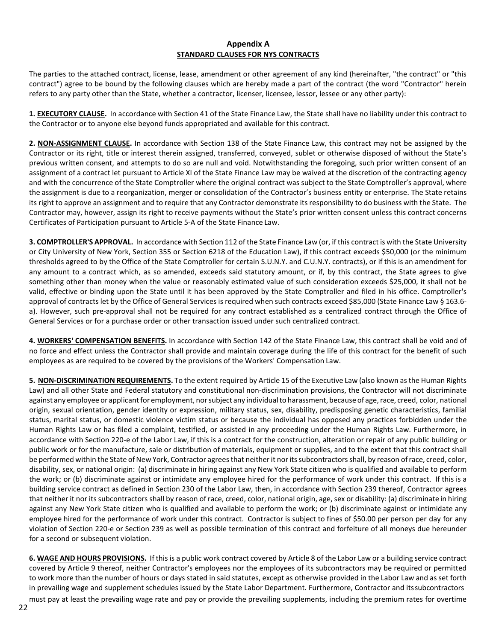#### **Appendix A STANDARD CLAUSES FOR NYS CONTRACTS**

The parties to the attached contract, license, lease, amendment or other agreement of any kind (hereinafter, "the contract" or "this contract") agree to be bound by the following clauses which are hereby made a part of the contract (the word "Contractor" herein refers to any party other than the State, whether a contractor, licenser, licensee, lessor, lessee or any other party):

**1. EXECUTORY CLAUSE.** In accordance with Section 41 of the State Finance Law, the State shall have no liability under this contract to the Contractor or to anyone else beyond funds appropriated and available for this contract.

**2. NON-ASSIGNMENT CLAUSE.** In accordance with Section 138 of the State Finance Law, this contract may not be assigned by the Contractor or its right, title or interest therein assigned, transferred, conveyed, sublet or otherwise disposed of without the State's previous written consent, and attempts to do so are null and void. Notwithstanding the foregoing, such prior written consent of an assignment of a contract let pursuant to Article XI of the State Finance Law may be waived at the discretion of the contracting agency and with the concurrence of the State Comptroller where the original contract was subject to the State Comptroller's approval, where the assignment is due to a reorganization, merger or consolidation of the Contractor's business entity or enterprise. The State retains its right to approve an assignment and to require that any Contractor demonstrate its responsibility to do business with the State. The Contractor may, however, assign its right to receive payments without the State's prior written consent unless this contract concerns Certificates of Participation pursuant to Article 5-A of the State Finance Law.

**3. COMPTROLLER'S APPROVAL.** In accordance with Section 112 of the State Finance Law (or, if this contract is with the State University or City University of New York, Section 355 or Section 6218 of the Education Law), if this contract exceeds \$50,000 (or the minimum thresholds agreed to by the Office of the State Comptroller for certain S.U.N.Y. and C.U.N.Y. contracts), or if this is an amendment for any amount to a contract which, as so amended, exceeds said statutory amount, or if, by this contract, the State agrees to give something other than money when the value or reasonably estimated value of such consideration exceeds \$25,000, it shall not be valid, effective or binding upon the State until it has been approved by the State Comptroller and filed in his office. Comptroller's approval of contracts let by the Office of General Services is required when such contracts exceed \$85,000 (State Finance Law § 163.6 a). However, such pre-approval shall not be required for any contract established as a centralized contract through the Office of General Services or for a purchase order or other transaction issued under such centralized contract.

**4. WORKERS' COMPENSATION BENEFITS.** In accordance with Section 142 of the State Finance Law, this contract shall be void and of no force and effect unless the Contractor shall provide and maintain coverage during the life of this contract for the benefit of such employees as are required to be covered by the provisions of the Workers' Compensation Law.

**5. NON-DISCRIMINATION REQUIREMENTS.** To the extent required by Article 15 of the Executive Law (also known as the Human Rights Law) and all other State and Federal statutory and constitutional non-discrimination provisions, the Contractor will not discriminate against any employee or applicant for employment, nor subject any individual to harassment, because of age, race, creed, color, national origin, sexual orientation, gender identity or expression, military status, sex, disability, predisposing genetic characteristics, familial status, marital status, or domestic violence victim status or because the individual has opposed any practices forbidden under the Human Rights Law or has filed a complaint, testified, or assisted in any proceeding under the Human Rights Law. Furthermore, in accordance with Section 220-e of the Labor Law, if this is a contract for the construction, alteration or repair of any public building or public work or for the manufacture, sale or distribution of materials, equipment or supplies, and to the extent that this contract shall be performed within the State of New York, Contractor agrees that neither it nor its subcontractors shall, by reason of race, creed, color, disability, sex, or national origin: (a) discriminate in hiring against any New York State citizen who is qualified and available to perform the work; or (b) discriminate against or intimidate any employee hired for the performance of work under this contract. If this is a building service contract as defined in Section 230 of the Labor Law, then, in accordance with Section 239 thereof, Contractor agrees that neither it nor its subcontractors shall by reason of race, creed, color, national origin, age, sex or disability: (a) discriminate in hiring against any New York State citizen who is qualified and available to perform the work; or (b) discriminate against or intimidate any employee hired for the performance of work under this contract. Contractor is subject to fines of \$50.00 per person per day for any violation of Section 220-e or Section 239 as well as possible termination of this contract and forfeiture of all moneys due hereunder for a second or subsequent violation.

**6. WAGE AND HOURS PROVISIONS.** If this is a public work contract covered by Article 8 of the Labor Law or a building service contract covered by Article 9 thereof, neither Contractor's employees nor the employees of its subcontractors may be required or permitted to work more than the number of hours or days stated in said statutes, except as otherwise provided in the Labor Law and as set forth in prevailing wage and supplement schedules issued by the State Labor Department. Furthermore, Contractor and itssubcontractors must pay at least the prevailing wage rate and pay or provide the prevailing supplements, including the premium rates for overtime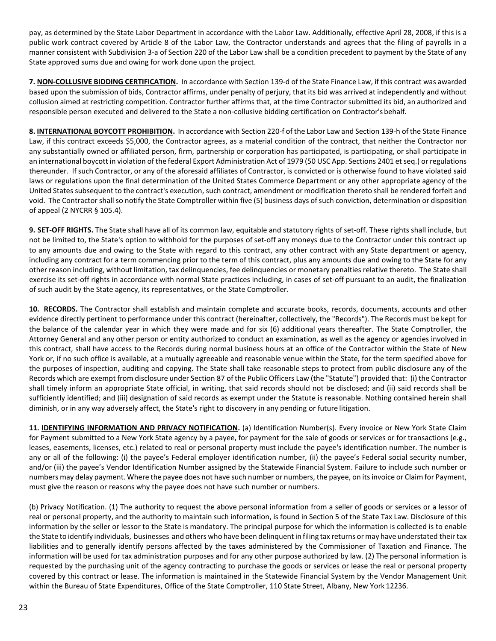pay, as determined by the State Labor Department in accordance with the Labor Law. Additionally, effective April 28, 2008, if this is a public work contract covered by Article 8 of the Labor Law, the Contractor understands and agrees that the filing of payrolls in a manner consistent with Subdivision 3-a of Section 220 of the Labor Law shall be a condition precedent to payment by the State of any State approved sums due and owing for work done upon the project.

**7. NON-COLLUSIVE BIDDING CERTIFICATION.** In accordance with Section 139-d of the State Finance Law, if this contract was awarded based upon the submission of bids, Contractor affirms, under penalty of perjury, that its bid was arrived at independently and without collusion aimed at restricting competition. Contractor further affirms that, at the time Contractor submitted its bid, an authorized and responsible person executed and delivered to the State a non-collusive bidding certification on Contractor's behalf.

**8. INTERNATIONAL BOYCOTT PROHIBITION.** In accordance with Section 220-f of the Labor Law and Section 139-h of the State Finance Law, if this contract exceeds \$5,000, the Contractor agrees, as a material condition of the contract, that neither the Contractor nor any substantially owned or affiliated person, firm, partnership or corporation has participated, is participating, or shall participate in an international boycott in violation of the federal Export Administration Act of 1979 (50 USC App. Sections 2401 et seq.) or regulations thereunder. If such Contractor, or any of the aforesaid affiliates of Contractor, is convicted or is otherwise found to have violated said laws or regulations upon the final determination of the United States Commerce Department or any other appropriate agency of the United States subsequent to the contract's execution, such contract, amendment or modification thereto shall be rendered forfeit and void. The Contractor shall so notify the State Comptroller within five (5) business days of such conviction, determination or disposition of appeal (2 NYCRR § 105.4).

**9. SET-OFF RIGHTS.** The State shall have all of its common law, equitable and statutory rights of set-off. These rights shall include, but not be limited to, the State's option to withhold for the purposes of set-off any moneys due to the Contractor under this contract up to any amounts due and owing to the State with regard to this contract, any other contract with any State department or agency, including any contract for a term commencing prior to the term of this contract, plus any amounts due and owing to the State for any other reason including, without limitation, tax delinquencies, fee delinquencies or monetary penalties relative thereto. The State shall exercise its set-off rights in accordance with normal State practices including, in cases of set-off pursuant to an audit, the finalization of such audit by the State agency, its representatives, or the State Comptroller.

**10. RECORDS.** The Contractor shall establish and maintain complete and accurate books, records, documents, accounts and other evidence directly pertinent to performance under this contract (hereinafter, collectively, the "Records"). The Records must be kept for the balance of the calendar year in which they were made and for six (6) additional years thereafter. The State Comptroller, the Attorney General and any other person or entity authorized to conduct an examination, as well as the agency or agencies involved in this contract, shall have access to the Records during normal business hours at an office of the Contractor within the State of New York or, if no such office is available, at a mutually agreeable and reasonable venue within the State, for the term specified above for the purposes of inspection, auditing and copying. The State shall take reasonable steps to protect from public disclosure any of the Records which are exempt from disclosure under Section 87 of the Public Officers Law (the "Statute") provided that: (i) the Contractor shall timely inform an appropriate State official, in writing, that said records should not be disclosed; and (ii) said records shall be sufficiently identified; and (iii) designation of said records as exempt under the Statute is reasonable. Nothing contained herein shall diminish, or in any way adversely affect, the State's right to discovery in any pending or future litigation.

**11. IDENTIFYING INFORMATION AND PRIVACY NOTIFICATION.** (a) Identification Number(s). Every invoice or New York State Claim for Payment submitted to a New York State agency by a payee, for payment for the sale of goods or services or for transactions (e.g., leases, easements, licenses, etc.) related to real or personal property must include the payee's identification number. The number is any or all of the following: (i) the payee's Federal employer identification number, (ii) the payee's Federal social security number, and/or (iii) the payee's Vendor Identification Number assigned by the Statewide Financial System. Failure to include such number or numbers may delay payment. Where the payee does not have such number or numbers, the payee, on itsinvoice or Claim for Payment, must give the reason or reasons why the payee does not have such number or numbers.

(b) Privacy Notification. (1) The authority to request the above personal information from a seller of goods or services or a lessor of real or personal property, and the authority to maintain such information, is found in Section 5 of the State Tax Law. Disclosure of this information by the seller or lessor to the State is mandatory. The principal purpose for which the information is collected is to enable the State to identify individuals, businesses and others who have been delinquent in filing tax returns ormay have understated their tax liabilities and to generally identify persons affected by the taxes administered by the Commissioner of Taxation and Finance. The information will be used for tax administration purposes and for any other purpose authorized by law. (2) The personal information is requested by the purchasing unit of the agency contracting to purchase the goods or services or lease the real or personal property covered by this contract or lease. The information is maintained in the Statewide Financial System by the Vendor Management Unit within the Bureau of State Expenditures, Office of the State Comptroller, 110 State Street, Albany, New York 12236.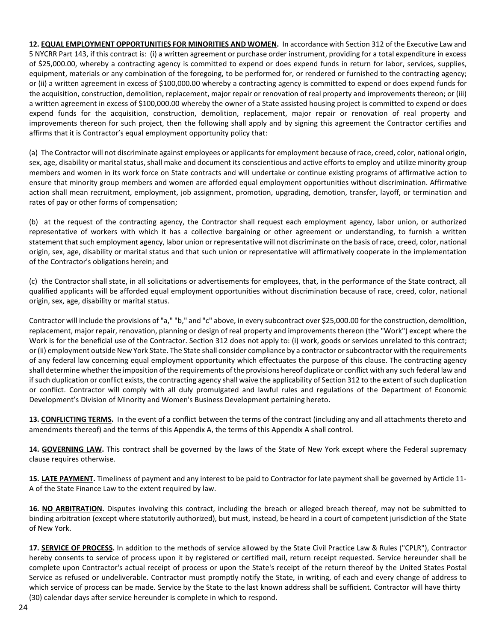**12. EQUAL EMPLOYMENT OPPORTUNITIES FOR MINORITIES AND WOMEN.** In accordance with Section 312 of the Executive Law and 5 NYCRR Part 143, if this contract is: (i) a written agreement or purchase order instrument, providing for a total expenditure in excess of \$25,000.00, whereby a contracting agency is committed to expend or does expend funds in return for labor, services, supplies, equipment, materials or any combination of the foregoing, to be performed for, or rendered or furnished to the contracting agency; or (ii) a written agreement in excess of \$100,000.00 whereby a contracting agency is committed to expend or does expend funds for the acquisition, construction, demolition, replacement, major repair or renovation of real property and improvements thereon; or (iii) a written agreement in excess of \$100,000.00 whereby the owner of a State assisted housing project is committed to expend or does expend funds for the acquisition, construction, demolition, replacement, major repair or renovation of real property and improvements thereon for such project, then the following shall apply and by signing this agreement the Contractor certifies and affirms that it is Contractor's equal employment opportunity policy that:

(a) The Contractor will not discriminate against employees or applicants for employment because of race, creed, color, national origin, sex, age, disability or marital status, shall make and document its conscientious and active efforts to employ and utilize minority group members and women in its work force on State contracts and will undertake or continue existing programs of affirmative action to ensure that minority group members and women are afforded equal employment opportunities without discrimination. Affirmative action shall mean recruitment, employment, job assignment, promotion, upgrading, demotion, transfer, layoff, or termination and rates of pay or other forms of compensation;

(b) at the request of the contracting agency, the Contractor shall request each employment agency, labor union, or authorized representative of workers with which it has a collective bargaining or other agreement or understanding, to furnish a written statement that such employment agency, labor union or representative will not discriminate on the basis of race, creed, color, national origin, sex, age, disability or marital status and that such union or representative will affirmatively cooperate in the implementation of the Contractor's obligations herein; and

(c) the Contractor shall state, in all solicitations or advertisements for employees, that, in the performance of the State contract, all qualified applicants will be afforded equal employment opportunities without discrimination because of race, creed, color, national origin, sex, age, disability or marital status.

Contractor will include the provisions of "a," "b," and "c" above, in every subcontract over \$25,000.00 for the construction, demolition, replacement, major repair, renovation, planning or design of real property and improvements thereon (the "Work") except where the Work is for the beneficial use of the Contractor. Section 312 does not apply to: (i) work, goods or services unrelated to this contract; or (ii) employment outside New York State. The State shall consider compliance by a contractor or subcontractor with the requirements of any federal law concerning equal employment opportunity which effectuates the purpose of this clause. The contracting agency shall determine whether the imposition of the requirements of the provisions hereof duplicate or conflict with any such federal law and if such duplication or conflict exists, the contracting agency shall waive the applicability of Section 312 to the extent of such duplication or conflict. Contractor will comply with all duly promulgated and lawful rules and regulations of the Department of Economic Development's Division of Minority and Women's Business Development pertaining hereto.

**13. CONFLICTING TERMS.** In the event of a conflict between the terms of the contract (including any and all attachments thereto and amendments thereof) and the terms of this Appendix A, the terms of this Appendix A shall control.

**14. GOVERNING LAW.** This contract shall be governed by the laws of the State of New York except where the Federal supremacy clause requires otherwise.

**15. LATE PAYMENT.** Timeliness of payment and any interest to be paid to Contractor for late payment shall be governed by Article 11- A of the State Finance Law to the extent required by law.

**16. NO ARBITRATION.** Disputes involving this contract, including the breach or alleged breach thereof, may not be submitted to binding arbitration (except where statutorily authorized), but must, instead, be heard in a court of competent jurisdiction of the State of New York.

**17. SERVICE OF PROCESS.** In addition to the methods of service allowed by the State Civil Practice Law & Rules ("CPLR"), Contractor hereby consents to service of process upon it by registered or certified mail, return receipt requested. Service hereunder shall be complete upon Contractor's actual receipt of process or upon the State's receipt of the return thereof by the United States Postal Service as refused or undeliverable. Contractor must promptly notify the State, in writing, of each and every change of address to which service of process can be made. Service by the State to the last known address shall be sufficient. Contractor will have thirty (30) calendar days after service hereunder is complete in which to respond.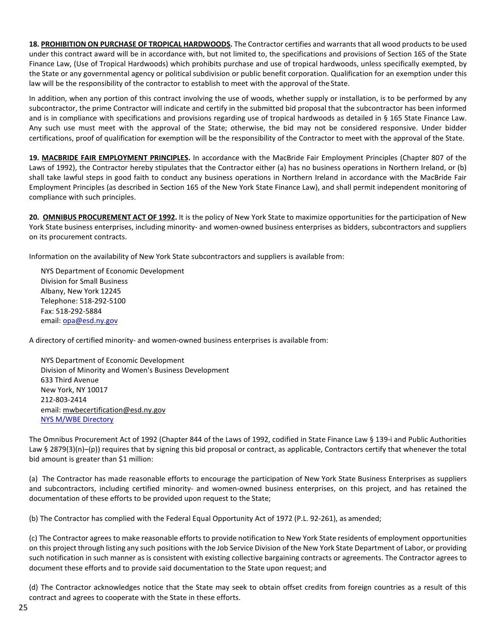**18. PROHIBITION ON PURCHASE OF TROPICAL HARDWOODS.** The Contractor certifies and warrants that all wood productsto be used under this contract award will be in accordance with, but not limited to, the specifications and provisions of Section 165 of the State Finance Law, (Use of Tropical Hardwoods) which prohibits purchase and use of tropical hardwoods, unless specifically exempted, by the State or any governmental agency or political subdivision or public benefit corporation. Qualification for an exemption under this law will be the responsibility of the contractor to establish to meet with the approval of the State.

In addition, when any portion of this contract involving the use of woods, whether supply or installation, is to be performed by any subcontractor, the prime Contractor will indicate and certify in the submitted bid proposal that the subcontractor has been informed and is in compliance with specifications and provisions regarding use of tropical hardwoods as detailed in § 165 State Finance Law. Any such use must meet with the approval of the State; otherwise, the bid may not be considered responsive. Under bidder certifications, proof of qualification for exemption will be the responsibility of the Contractor to meet with the approval of the State.

**19. MACBRIDE FAIR EMPLOYMENT PRINCIPLES.** In accordance with the MacBride Fair Employment Principles (Chapter 807 of the Laws of 1992), the Contractor hereby stipulates that the Contractor either (a) has no business operations in Northern Ireland, or (b) shall take lawful steps in good faith to conduct any business operations in Northern Ireland in accordance with the MacBride Fair Employment Principles (as described in Section 165 of the New York State Finance Law), and shall permit independent monitoring of compliance with such principles.

**20. OMNIBUS PROCUREMENT ACT OF 1992.** It is the policy of New York State to maximize opportunities for the participation of New York State business enterprises, including minority- and women-owned business enterprises as bidders, subcontractors and suppliers on its procurement contracts.

Information on the availability of New York State subcontractors and suppliers is available from:

NYS Department of Economic Development Division for Small Business Albany, New York 12245 Telephone: 518-292-5100 Fax: 518-292-5884 email[: opa@esd.ny.gov](mailto:opa@esd.ny.gov)

A directory of certified minority- and women-owned business enterprises is available from:

NYS Department of Economic Development Division of Minority and Women's Business Development 633 Third Avenue New York, NY 10017 212-803-2414 email[: mwbecertification@esd.ny.gov](mailto:mwbecertification@esd.ny.gov) [NYS M/WBE Directory](https://ny.newnycontracts.com/FrontEnd/VendorSearchPublic.asp)

The Omnibus Procurement Act of 1992 (Chapter 844 of the Laws of 1992, codified in State Finance Law § 139-i and Public Authorities Law § 2879(3)(n)-(p)) requires that by signing this bid proposal or contract, as applicable, Contractors certify that whenever the total bid amount is greater than \$1 million:

(a) The Contractor has made reasonable efforts to encourage the participation of New York State Business Enterprises as suppliers and subcontractors, including certified minority- and women-owned business enterprises, on this project, and has retained the documentation of these efforts to be provided upon request to the State;

(b) The Contractor has complied with the Federal Equal Opportunity Act of 1972 (P.L. 92-261), as amended;

(c) The Contractor agrees to make reasonable efforts to provide notification to New York State residents of employment opportunities on this project through listing any such positions with the Job Service Division of the New York State Department of Labor, or providing such notification in such manner as is consistent with existing collective bargaining contracts or agreements. The Contractor agrees to document these efforts and to provide said documentation to the State upon request; and

(d) The Contractor acknowledges notice that the State may seek to obtain offset credits from foreign countries as a result of this contract and agrees to cooperate with the State in these efforts.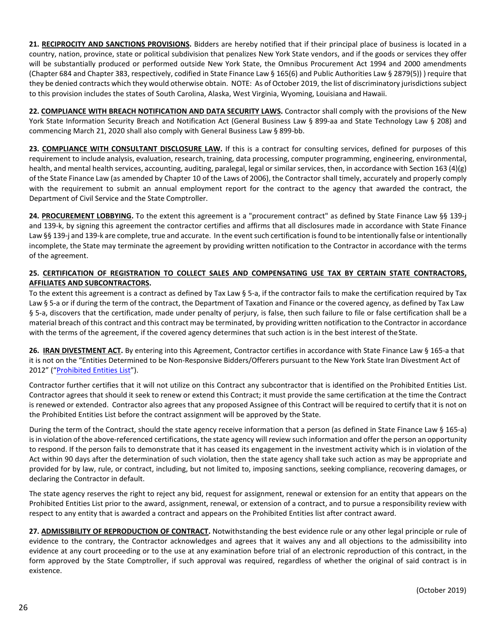**21. RECIPROCITY AND SANCTIONS PROVISIONS.** Bidders are hereby notified that if their principal place of business is located in a country, nation, province, state or political subdivision that penalizes New York State vendors, and if the goods or services they offer will be substantially produced or performed outside New York State, the Omnibus Procurement Act 1994 and 2000 amendments (Chapter 684 and Chapter 383, respectively, codified in State Finance Law § 165(6) and Public Authorities Law § 2879(5)) ) require that they be denied contracts which they would otherwise obtain. NOTE: As of October 2019, the list of discriminatory jurisdictions subject to this provision includes the states of South Carolina, Alaska, West Virginia, Wyoming, Louisiana and Hawaii.

**22. COMPLIANCE WITH BREACH NOTIFICATION AND DATA SECURITY LAWS.** Contractor shall comply with the provisions of the New York State Information Security Breach and Notification Act (General Business Law § 899-aa and State Technology Law § 208) and commencing March 21, 2020 shall also comply with General Business Law § 899-bb.

**23. COMPLIANCE WITH CONSULTANT DISCLOSURE LAW.** If this is a contract for consulting services, defined for purposes of this requirement to include analysis, evaluation, research, training, data processing, computer programming, engineering, environmental, health, and mental health services, accounting, auditing, paralegal, legal or similar services, then, in accordance with Section 163 (4)(g) of the State Finance Law (as amended by Chapter 10 of the Laws of 2006), the Contractor shall timely, accurately and properly comply with the requirement to submit an annual employment report for the contract to the agency that awarded the contract, the Department of Civil Service and the State Comptroller.

**24. PROCUREMENT LOBBYING.** To the extent this agreement is a "procurement contract" as defined by State Finance Law §§ 139-j and 139-k, by signing this agreement the contractor certifies and affirms that all disclosures made in accordance with State Finance Law §§ 139-j and 139-k are complete, true and accurate. In the event such certification is found to be intentionally false or intentionally incomplete, the State may terminate the agreement by providing written notification to the Contractor in accordance with the terms of the agreement.

#### **25. CERTIFICATION OF REGISTRATION TO COLLECT SALES AND COMPENSATING USE TAX BY CERTAIN STATE CONTRACTORS, AFFILIATES AND SUBCONTRACTORS.**

To the extent this agreement is a contract as defined by Tax Law § 5-a, if the contractor fails to make the certification required by Tax Law § 5-a or if during the term of the contract, the Department of Taxation and Finance or the covered agency, as defined by Tax Law § 5-a, discovers that the certification, made under penalty of perjury, is false, then such failure to file or false certification shall be a material breach of this contract and this contract may be terminated, by providing written notification to the Contractor in accordance with the terms of the agreement, if the covered agency determines that such action is in the best interest of theState.

**26. IRAN DIVESTMENT ACT.** By entering into this Agreement, Contractor certifies in accordance with State Finance Law § 165-a that it is not on the "Entities Determined to be Non-Responsive Bidders/Offerers pursuant to the New York State Iran Divestment Act of 2012" (["Prohibited Entities](https://ogs.ny.gov/list-entities-determined-be-non-responsive-biddersofferers-pursuant-nys-iran-divestment-act-2012) List").

Contractor further certifies that it will not utilize on this Contract any subcontractor that is identified on the Prohibited Entities List. Contractor agrees that should it seek to renew or extend this Contract; it must provide the same certification at the time the Contract is renewed or extended. Contractor also agrees that any proposed Assignee of this Contract will be required to certify that it is not on the Prohibited Entities List before the contract assignment will be approved by the State.

During the term of the Contract, should the state agency receive information that a person (as defined in State Finance Law § 165-a) is in violation of the above-referenced certifications, the state agency will review such information and offer the person an opportunity to respond. If the person fails to demonstrate that it has ceased its engagement in the investment activity which is in violation of the Act within 90 days after the determination of such violation, then the state agency shall take such action as may be appropriate and provided for by law, rule, or contract, including, but not limited to, imposing sanctions, seeking compliance, recovering damages, or declaring the Contractor in default.

The state agency reserves the right to reject any bid, request for assignment, renewal or extension for an entity that appears on the Prohibited Entities List prior to the award, assignment, renewal, or extension of a contract, and to pursue a responsibility review with respect to any entity that is awarded a contract and appears on the Prohibited Entities list after contract award.

**27. ADMISSIBILITY OF REPRODUCTION OF CONTRACT.** Notwithstanding the best evidence rule or any other legal principle or rule of evidence to the contrary, the Contractor acknowledges and agrees that it waives any and all objections to the admissibility into evidence at any court proceeding or to the use at any examination before trial of an electronic reproduction of this contract, in the form approved by the State Comptroller, if such approval was required, regardless of whether the original of said contract is in existence.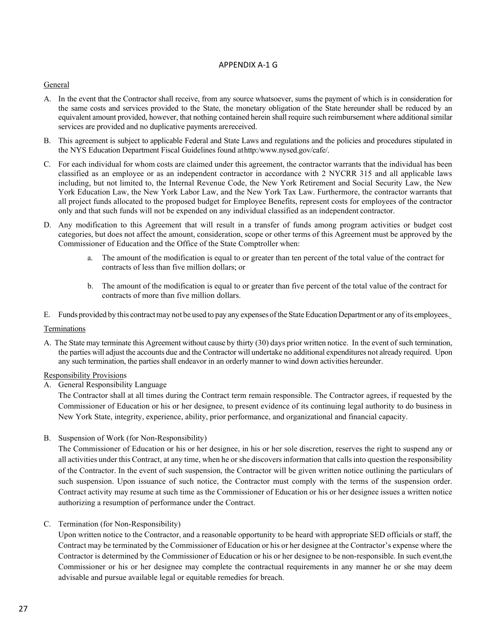#### APPENDIX A-1 G

#### **General**

- A. In the event that the Contractor shall receive, from any source whatsoever, sums the payment of which is in consideration for the same costs and services provided to the State, the monetary obligation of the State hereunder shall be reduced by an equivalent amount provided, however, that nothing contained herein shall require such reimbursement where additionalsimilar services are provided and no duplicative payments arereceived.
- B. This agreement is subject to applicable Federal and State Laws and regulations and the policies and procedures stipulated in the NYS Education Department Fiscal Guidelines found athttp:[/www.nysed.gov/cafe/.](http://www.nysed.gov/cafe/)
- C. For each individual for whom costs are claimed under this agreement, the contractor warrants that the individual has been classified as an employee or as an independent contractor in accordance with 2 NYCRR 315 and all applicable laws including, but not limited to, the Internal Revenue Code, the New York Retirement and Social Security Law, the New York Education Law, the New York Labor Law, and the New York Tax Law. Furthermore, the contractor warrants that all project funds allocated to the proposed budget for Employee Benefits, represent costs for employees of the contractor only and that such funds will not be expended on any individual classified as an independent contractor.
- D. Any modification to this Agreement that will result in a transfer of funds among program activities or budget cost categories, but does not affect the amount, consideration, scope or other terms of this Agreement must be approved by the Commissioner of Education and the Office of the State Comptroller when:
	- a. The amount of the modification is equal to or greater than ten percent of the total value of the contract for contracts of less than five million dollars; or
	- b. The amount of the modification is equal to or greater than five percent of the total value of the contract for contracts of more than five million dollars.
- E. Funds provided by this contract may not be used to pay any expenses of the State Education Department or any of its employees.

#### Terminations

A. The State may terminate this Agreement without cause by thirty (30) days prior written notice. In the event of such termination, the parties will adjust the accounts due and the Contractor will undertake no additional expenditures not already required. Upon any such termination, the parties shall endeavor in an orderly manner to wind down activities hereunder.

#### Responsibility Provisions

A. General Responsibility Language

The Contractor shall at all times during the Contract term remain responsible. The Contractor agrees, if requested by the Commissioner of Education or his or her designee, to present evidence of its continuing legal authority to do business in New York State, integrity, experience, ability, prior performance, and organizational and financial capacity.

B. Suspension of Work (for Non-Responsibility)

The Commissioner of Education or his or her designee, in his or her sole discretion, reserves the right to suspend any or all activities under this Contract, at any time, when he or she discoversinformation that callsinto question the responsibility of the Contractor. In the event of such suspension, the Contractor will be given written notice outlining the particulars of such suspension. Upon issuance of such notice, the Contractor must comply with the terms of the suspension order. Contract activity may resume at such time as the Commissioner of Education or his or her designee issues a written notice authorizing a resumption of performance under the Contract.

#### C. Termination (for Non-Responsibility)

Upon written notice to the Contractor, and a reasonable opportunity to be heard with appropriate SED officials or staff, the Contract may be terminated by the Commissioner of Education or his or her designee at the Contractor's expense where the Contractor is determined by the Commissioner of Education or his or her designee to be non-responsible. In such event,the Commissioner or his or her designee may complete the contractual requirements in any manner he or she may deem advisable and pursue available legal or equitable remedies for breach.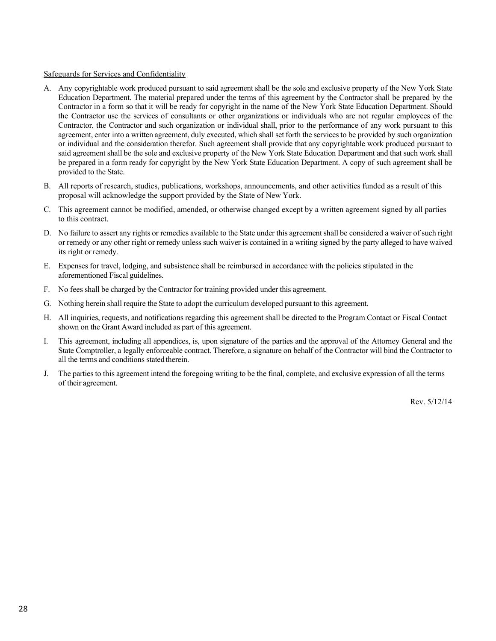#### Safeguards for Services and Confidentiality

- A. Any copyrightable work produced pursuant to said agreement shall be the sole and exclusive property of the New York State Education Department. The material prepared under the terms of this agreement by the Contractor shall be prepared by the Contractor in a form so that it will be ready for copyright in the name of the New York State Education Department. Should the Contractor use the services of consultants or other organizations or individuals who are not regular employees of the Contractor, the Contractor and such organization or individual shall, prior to the performance of any work pursuant to this agreement, enter into a written agreement, duly executed, which shall set forth the services to be provided by such organization or individual and the consideration therefor. Such agreement shall provide that any copyrightable work produced pursuant to said agreement shall be the sole and exclusive property of the New York State Education Department and that such work shall be prepared in a form ready for copyright by the New York State Education Department. A copy of such agreement shall be provided to the State.
- B. All reports of research, studies, publications, workshops, announcements, and other activities funded as a result of this proposal will acknowledge the support provided by the State of New York.
- C. This agreement cannot be modified, amended, or otherwise changed except by a written agreement signed by all parties to this contract.
- D. No failure to assert any rights or remedies available to the State under this agreementshall be considered a waiver of such right or remedy or any other right or remedy unless such waiver is contained in a writing signed by the party alleged to have waived its right or remedy.
- E. Expenses for travel, lodging, and subsistence shall be reimbursed in accordance with the policies stipulated in the aforementioned Fiscal guidelines.
- F. No fees shall be charged by the Contractor for training provided under this agreement.
- G. Nothing herein shall require the State to adopt the curriculum developed pursuant to this agreement.
- H. All inquiries, requests, and notifications regarding this agreement shall be directed to the Program Contact or Fiscal Contact shown on the Grant Award included as part of this agreement.
- I. This agreement, including all appendices, is, upon signature of the parties and the approval of the Attorney General and the State Comptroller, a legally enforceable contract. Therefore, a signature on behalf of the Contractor will bind the Contractor to all the terms and conditions stated therein.
- J. The parties to this agreement intend the foregoing writing to be the final, complete, and exclusive expression of all the terms of their agreement.

Rev. 5/12/14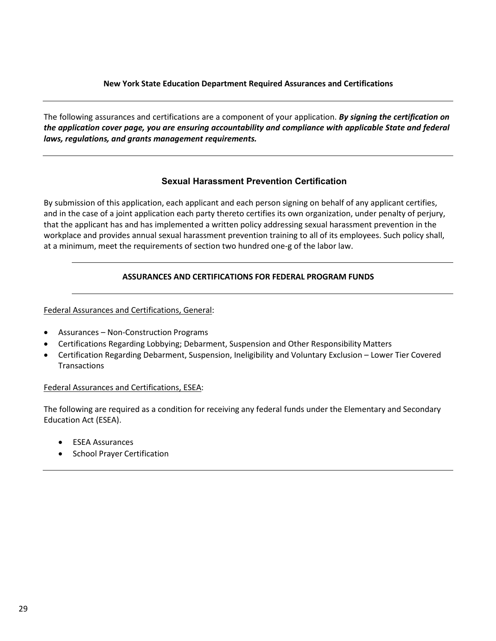## **New York State Education Department Required Assurances and Certifications**

The following assurances and certifications are a component of your application. *By signing the certification on the application cover page, you are ensuring accountability and compliance with applicable State and federal laws, regulations, and grants management requirements.*

## **Sexual Harassment Prevention Certification**

By submission of this application, each applicant and each person signing on behalf of any applicant certifies, and in the case of a joint application each party thereto certifies its own organization, under penalty of perjury, that the applicant has and has implemented a written policy addressing sexual harassment prevention in the workplace and provides annual sexual harassment prevention training to all of its employees. Such policy shall, at a minimum, meet the requirements of section two hundred one-g of the labor law.

# **ASSURANCES AND CERTIFICATIONS FOR FEDERAL PROGRAM FUNDS**

Federal Assurances and Certifications, General:

- Assurances Non-Construction Programs
- Certifications Regarding Lobbying; Debarment, Suspension and Other Responsibility Matters
- Certification Regarding Debarment, Suspension, Ineligibility and Voluntary Exclusion Lower Tier Covered **Transactions**

## Federal Assurances and Certifications, ESEA:

The following are required as a condition for receiving any federal funds under the Elementary and Secondary Education Act (ESEA).

- ESEA Assurances
- School Prayer Certification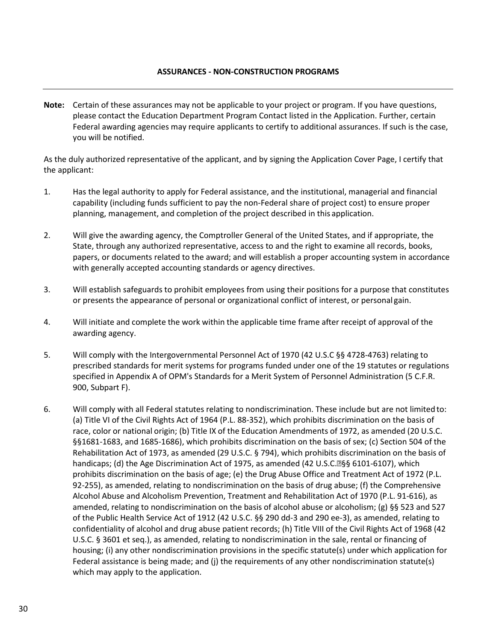## **ASSURANCES - NON-CONSTRUCTION PROGRAMS**

**Note:** Certain of these assurances may not be applicable to your project or program. If you have questions, please contact the Education Department Program Contact listed in the Application. Further, certain Federal awarding agencies may require applicants to certify to additional assurances. If such is the case, you will be notified.

As the duly authorized representative of the applicant, and by signing the Application Cover Page, I certify that the applicant:

- 1. Has the legal authority to apply for Federal assistance, and the institutional, managerial and financial capability (including funds sufficient to pay the non-Federal share of project cost) to ensure proper planning, management, and completion of the project described in this application.
- 2. Will give the awarding agency, the Comptroller General of the United States, and if appropriate, the State, through any authorized representative, access to and the right to examine all records, books, papers, or documents related to the award; and will establish a proper accounting system in accordance with generally accepted accounting standards or agency directives.
- 3. Will establish safeguards to prohibit employees from using their positions for a purpose that constitutes or presents the appearance of personal or organizational conflict of interest, or personal gain.
- 4. Will initiate and complete the work within the applicable time frame after receipt of approval of the awarding agency.
- 5. Will comply with the Intergovernmental Personnel Act of 1970 (42 U.S.C §§ 4728-4763) relating to prescribed standards for merit systems for programs funded under one of the 19 statutes or regulations specified in Appendix A of OPM's Standards for a Merit System of Personnel Administration (5 C.F.R. 900, Subpart F).
- 6. Will comply with all Federal statutes relating to nondiscrimination. These include but are not limited to: (a) Title VI of the Civil Rights Act of 1964 (P.L. 88-352), which prohibits discrimination on the basis of race, color or national origin; (b) Title IX of the Education Amendments of 1972, as amended (20 U.S.C. §§1681-1683, and 1685-1686), which prohibits discrimination on the basis of sex; (c) Section 504 of the Rehabilitation Act of 1973, as amended (29 U.S.C. § 794), which prohibits discrimination on the basis of handicaps; (d) the Age Discrimination Act of 1975, as amended (42 U.S.C.<sup>®§</sup>§ 6101-6107), which prohibits discrimination on the basis of age; (e) the Drug Abuse Office and Treatment Act of 1972 (P.L. 92-255), as amended, relating to nondiscrimination on the basis of drug abuse; (f) the Comprehensive Alcohol Abuse and Alcoholism Prevention, Treatment and Rehabilitation Act of 1970 (P.L. 91-616), as amended, relating to nondiscrimination on the basis of alcohol abuse or alcoholism; (g) §§ 523 and 527 of the Public Health Service Act of 1912 (42 U.S.C. §§ 290 dd-3 and 290 ee-3), as amended, relating to confidentiality of alcohol and drug abuse patient records; (h) Title VIII of the Civil Rights Act of 1968 (42 U.S.C. § 3601 et seq.), as amended, relating to nondiscrimination in the sale, rental or financing of housing; (i) any other nondiscrimination provisions in the specific statute(s) under which application for Federal assistance is being made; and (j) the requirements of any other nondiscrimination statute(s) which may apply to the application.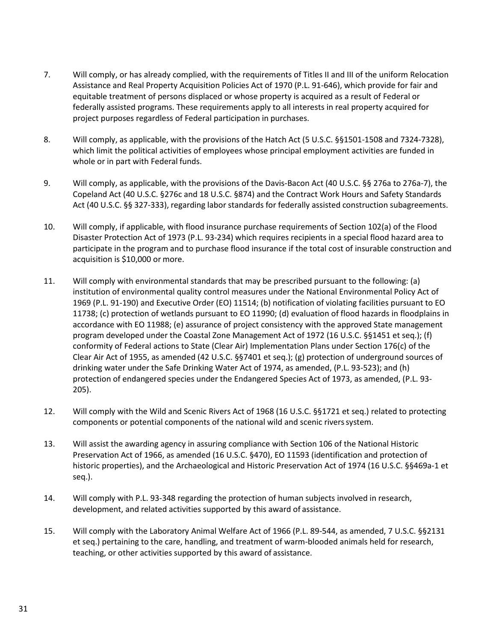- 7. Will comply, or has already complied, with the requirements of Titles II and III of the uniform Relocation Assistance and Real Property Acquisition Policies Act of 1970 (P.L. 91-646), which provide for fair and equitable treatment of persons displaced or whose property is acquired as a result of Federal or federally assisted programs. These requirements apply to all interests in real property acquired for project purposes regardless of Federal participation in purchases.
- 8. Will comply, as applicable, with the provisions of the Hatch Act (5 U.S.C. §§1501-1508 and 7324-7328), which limit the political activities of employees whose principal employment activities are funded in whole or in part with Federal funds.
- 9. Will comply, as applicable, with the provisions of the Davis-Bacon Act (40 U.S.C. §§ 276a to 276a-7), the Copeland Act (40 U.S.C. §276c and 18 U.S.C. §874) and the Contract Work Hours and Safety Standards Act (40 U.S.C. §§ 327-333), regarding labor standards for federally assisted construction subagreements.
- 10. Will comply, if applicable, with flood insurance purchase requirements of Section 102(a) of the Flood Disaster Protection Act of 1973 (P.L. 93-234) which requires recipients in a special flood hazard area to participate in the program and to purchase flood insurance if the total cost of insurable construction and acquisition is \$10,000 or more.
- 11. Will comply with environmental standards that may be prescribed pursuant to the following: (a) institution of environmental quality control measures under the National Environmental Policy Act of 1969 (P.L. 91-190) and Executive Order (EO) 11514; (b) notification of violating facilities pursuant to EO 11738; (c) protection of wetlands pursuant to EO 11990; (d) evaluation of flood hazards in floodplains in accordance with EO 11988; (e) assurance of project consistency with the approved State management program developed under the Coastal Zone Management Act of 1972 (16 U.S.C. §§1451 et seq.); (f) conformity of Federal actions to State (Clear Air) Implementation Plans under Section 176(c) of the Clear Air Act of 1955, as amended (42 U.S.C. §§7401 et seq.); (g) protection of underground sources of drinking water under the Safe Drinking Water Act of 1974, as amended, (P.L. 93-523); and (h) protection of endangered species under the Endangered Species Act of 1973, as amended, (P.L. 93- 205).
- 12. Will comply with the Wild and Scenic Rivers Act of 1968 (16 U.S.C. §§1721 et seq.) related to protecting components or potential components of the national wild and scenic riverssystem.
- 13. Will assist the awarding agency in assuring compliance with Section 106 of the National Historic Preservation Act of 1966, as amended (16 U.S.C. §470), EO 11593 (identification and protection of historic properties), and the Archaeological and Historic Preservation Act of 1974 (16 U.S.C. §§469a-1 et seq.).
- 14. Will comply with P.L. 93-348 regarding the protection of human subjects involved in research, development, and related activities supported by this award of assistance.
- 15. Will comply with the Laboratory Animal Welfare Act of 1966 (P.L. 89-544, as amended, 7 U.S.C. §§2131 et seq.) pertaining to the care, handling, and treatment of warm-blooded animals held for research, teaching, or other activities supported by this award of assistance.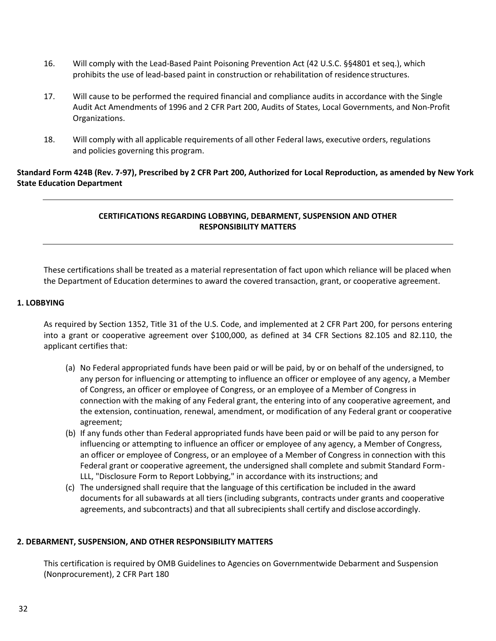- 16. Will comply with the Lead-Based Paint Poisoning Prevention Act (42 U.S.C. §§4801 et seq.), which prohibits the use of lead-based paint in construction or rehabilitation of residence structures.
- 17. Will cause to be performed the required financial and compliance audits in accordance with the Single Audit Act Amendments of 1996 and 2 CFR Part 200, Audits of States, Local Governments, and Non-Profit Organizations.
- 18. Will comply with all applicable requirements of all other Federal laws, executive orders, regulations and policies governing this program.

# **Standard Form 424B (Rev. 7-97), Prescribed by 2 CFR Part 200, Authorized for Local Reproduction, as amended by New York State Education Department**

# **CERTIFICATIONS REGARDING LOBBYING, DEBARMENT, SUSPENSION AND OTHER RESPONSIBILITY MATTERS**

These certifications shall be treated as a material representation of fact upon which reliance will be placed when the Department of Education determines to award the covered transaction, grant, or cooperative agreement.

# **1. LOBBYING**

As required by Section 1352, Title 31 of the U.S. Code, and implemented at 2 CFR Part 200, for persons entering into a grant or cooperative agreement over \$100,000, as defined at 34 CFR Sections 82.105 and 82.110, the applicant certifies that:

- (a) No Federal appropriated funds have been paid or will be paid, by or on behalf of the undersigned, to any person for influencing or attempting to influence an officer or employee of any agency, a Member of Congress, an officer or employee of Congress, or an employee of a Member of Congress in connection with the making of any Federal grant, the entering into of any cooperative agreement, and the extension, continuation, renewal, amendment, or modification of any Federal grant or cooperative agreement;
- (b) If any funds other than Federal appropriated funds have been paid or will be paid to any person for influencing or attempting to influence an officer or employee of any agency, a Member of Congress, an officer or employee of Congress, or an employee of a Member of Congress in connection with this Federal grant or cooperative agreement, the undersigned shall complete and submit Standard Form-LLL, "Disclosure Form to Report Lobbying," in accordance with its instructions; and
- (c) The undersigned shall require that the language of this certification be included in the award documents for all subawards at all tiers (including subgrants, contracts under grants and cooperative agreements, and subcontracts) and that all subrecipients shall certify and disclose accordingly.

## **2. DEBARMENT, SUSPENSION, AND OTHER RESPONSIBILITY MATTERS**

This certification is required by OMB Guidelines to Agencies on Governmentwide Debarment and Suspension (Nonprocurement), 2 CFR Part 180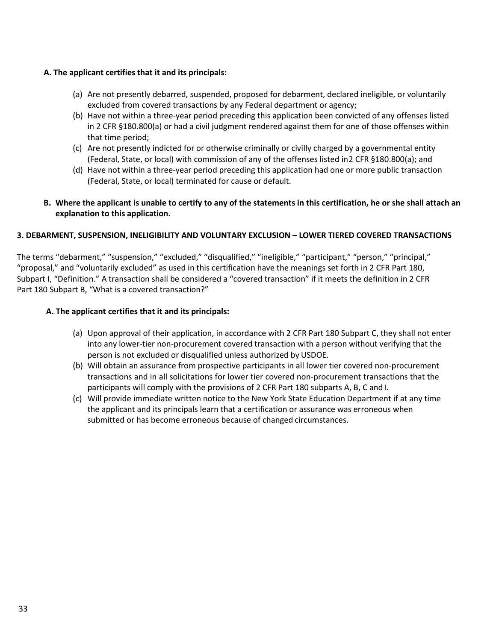# **A. The applicant certifies that it and its principals:**

- (a) Are not presently debarred, suspended, proposed for debarment, declared ineligible, or voluntarily excluded from covered transactions by any Federal department or agency;
- (b) Have not within a three-year period preceding this application been convicted of any offenses listed in 2 CFR §180.800(a) or had a civil judgment rendered against them for one of those offenses within that time period;
- (c) Are not presently indicted for or otherwise criminally or civilly charged by a governmental entity (Federal, State, or local) with commission of any of the offenses listed in2 CFR §180.800(a); and
- (d) Have not within a three-year period preceding this application had one or more public transaction (Federal, State, or local) terminated for cause or default.

# **B. Where the applicant is unable to certify to any of the statements in this certification, he or she shall attach an explanation to this application.**

# **3. DEBARMENT, SUSPENSION, INELIGIBILITY AND VOLUNTARY EXCLUSION – LOWER TIERED COVERED TRANSACTIONS**

The terms "debarment," "suspension," "excluded," "disqualified," "ineligible," "participant," "person," "principal," "proposal," and "voluntarily excluded" as used in this certification have the meanings set forth in 2 CFR Part 180, Subpart I, "Definition." A transaction shall be considered a "covered transaction" if it meets the definition in 2 CFR Part 180 Subpart B, "What is a covered transaction?"

# **A. The applicant certifies that it and its principals:**

- (a) Upon approval of their application, in accordance with 2 CFR Part 180 Subpart C, they shall not enter into any lower-tier non-procurement covered transaction with a person without verifying that the person is not excluded or disqualified unless authorized by USDOE.
- (b) Will obtain an assurance from prospective participants in all lower tier covered non-procurement transactions and in all solicitations for lower tier covered non-procurement transactions that the participants will comply with the provisions of 2 CFR Part 180 subparts A, B, C and I.
- (c) Will provide immediate written notice to the New York State Education Department if at any time the applicant and its principals learn that a certification or assurance was erroneous when submitted or has become erroneous because of changed circumstances.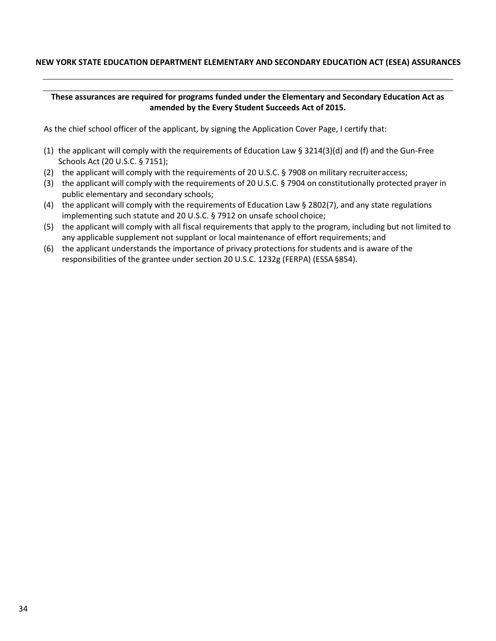# **NEW YORK STATE EDUCATION DEPARTMENT ELEMENTARY AND SECONDARY EDUCATION ACT (ESEA) ASSURANCES**

## **These assurances are required for programs funded under the Elementary and Secondary Education Act as amended by the Every Student Succeeds Act of 2015.**

As the chief school officer of the applicant, by signing the Application Cover Page, I certify that:

- (1) the applicant will comply with the requirements of Education Law § 3214(3)(d) and (f) and the Gun-Free Schools Act (20 U.S.C. § 7151);
- (2) the applicant will comply with the requirements of 20 U.S.C. § 7908 on military recruiter access;
- (3) the applicant will comply with the requirements of 20 U.S.C. § 7904 on constitutionally protected prayer in public elementary and secondary schools;
- (4) the applicant will comply with the requirements of Education Law  $\S 2802(7)$ , and any state regulations implementing such statute and 20 U.S.C. § 7912 on unsafe school choice;
- (5) the applicant will comply with all fiscal requirements that apply to the program, including but not limited to any applicable supplement not supplant or local maintenance of effort requirements; and
- (6) the applicant understands the importance of privacy protections for students and is aware of the responsibilities of the grantee under section 20 U.S.C. 1232g (FERPA) (ESSA§854).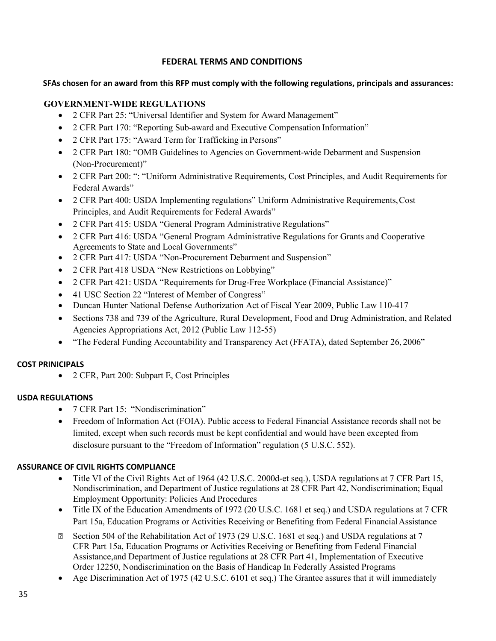# **FEDERAL TERMS AND CONDITIONS**

# <span id="page-34-0"></span>**SFAs chosen for an award from this RFP must comply with the following regulations, principals and assurances:**

# **GOVERNMENT-WIDE REGULATIONS**

- 2 CFR Part 25: "Universal Identifier and System for Award Management"
- 2 CFR Part 170: "Reporting Sub-award and Executive Compensation Information"
- 2 CFR Part 175: "Award Term for Trafficking in Persons"
- 2 CFR Part 180: "OMB Guidelines to Agencies on Government-wide Debarment and Suspension (Non-Procurement)"
- 2 CFR Part 200: ": "Uniform Administrative Requirements, Cost Principles, and Audit Requirements for Federal Awards"
- 2 CFR Part 400: USDA Implementing regulations" Uniform Administrative Requirements,Cost Principles, and Audit Requirements for Federal Awards"
- 2 CFR Part 415: USDA "General Program Administrative Regulations"
- 2 CFR Part 416: USDA "General Program Administrative Regulations for Grants and Cooperative Agreements to State and Local Governments"
- 2 CFR Part 417: USDA "Non-Procurement Debarment and Suspension"
- 2 CFR Part 418 USDA "New Restrictions on Lobbying"
- 2 CFR Part 421: USDA "Requirements for Drug-Free Workplace (Financial Assistance)"
- 41 USC Section 22 "Interest of Member of Congress"
- Duncan Hunter National Defense Authorization Act of Fiscal Year 2009, Public Law 110-417
- Sections 738 and 739 of the Agriculture, Rural Development, Food and Drug Administration, and Related Agencies Appropriations Act, 2012 (Public Law 112-55)
- "The Federal Funding Accountability and Transparency Act (FFATA), dated September 26, 2006"

# **COST PRINICIPALS**

• 2 CFR, Part 200: Subpart E, Cost Principles

# **USDA REGULATIONS**

- 7 CFR Part 15: "Nondiscrimination"
- Freedom of Information Act (FOIA). Public access to Federal Financial Assistance records shall not be limited, except when such records must be kept confidential and would have been excepted from disclosure pursuant to the "Freedom of Information" regulation (5 U.S.C. 552).

# **ASSURANCE OF CIVIL RIGHTS COMPLIANCE**

- Title VI of the Civil Rights Act of 1964 (42 U.S.C. 2000d-et seq.), USDA regulations at 7 CFR Part 15, Nondiscrimination, and Department of Justice regulations at 28 CFR Part 42, Nondiscrimination; Equal Employment Opportunity: Policies And Procedures
- Title IX of the Education Amendments of 1972 (20 U.S.C. 1681 et seq.) and USDA regulations at 7 CFR Part 15a, Education Programs or Activities Receiving or Benefiting from Federal FinancialAssistance
- Section 504 of the Rehabilitation Act of 1973 (29 U.S.C. 1681 et seq.) and USDA regulations at 7 CFR Part 15a, Education Programs or Activities Receiving or Benefiting from Federal Financial Assistance,and Department of Justice regulations at 28 CFR Part 41, Implementation of Executive Order 12250, Nondiscrimination on the Basis of Handicap In Federally Assisted Programs
- Age Discrimination Act of 1975 (42 U.S.C. 6101 et seq.) The Grantee assures that it will immediately